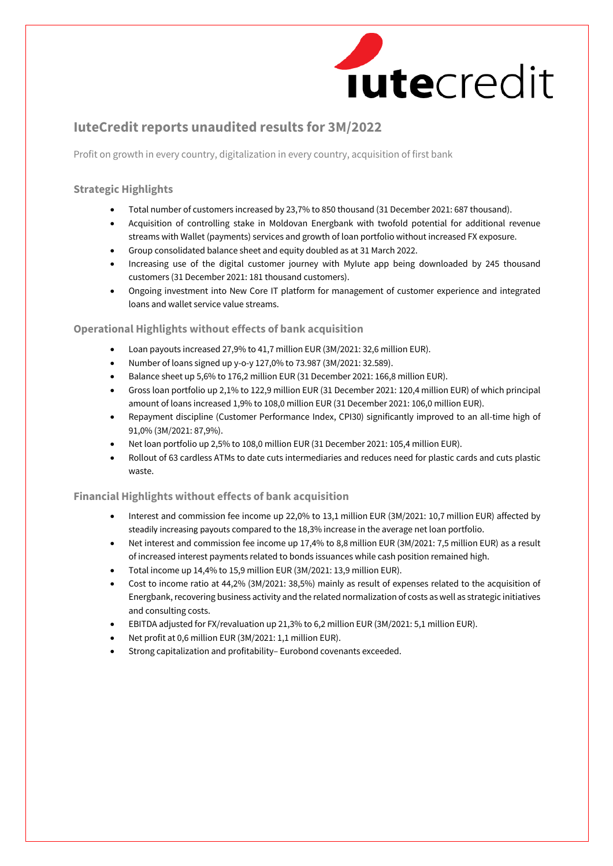

# **IuteCredit reports unaudited results for 3M/2022**

Profit on growth in every country, digitalization in every country, acquisition of first bank

## **Strategic Highlights**

- Total number of customers increased by 23,7% to 850 thousand (31 December 2021: 687 thousand).
- Acquisition of controlling stake in Moldovan Energbank with twofold potential for additional revenue streams with Wallet (payments) services and growth of loan portfolio without increased FX exposure.
- Group consolidated balance sheet and equity doubled as at 31 March 2022.
- Increasing use of the digital customer journey with MyIute app being downloaded by 245 thousand customers (31 December 2021: 181 thousand customers).
- Ongoing investment into New Core IT platform for management of customer experience and integrated loans and wallet service value streams.

## **Operational Highlights without effects of bank acquisition**

- Loan payouts increased 27,9% to 41,7 million EUR (3M/2021: 32,6 million EUR).
- Number of loans signed up y-o-y 127,0% to 73.987 (3M/2021: 32.589).
- Balance sheet up 5,6% to 176,2 million EUR (31 December 2021: 166,8 million EUR).
- Gross loan portfolio up 2,1% to 122,9 million EUR (31 December 2021: 120,4 million EUR) of which principal amount of loans increased 1,9% to 108,0 million EUR (31 December 2021: 106,0 million EUR).
- Repayment discipline (Customer Performance Index, CPI30) significantly improved to an all-time high of 91,0% (3M/2021: 87,9%).
- Net loan portfolio up 2,5% to 108,0 million EUR (31 December 2021: 105,4 million EUR).
- Rollout of 63 cardless ATMs to date cuts intermediaries and reduces need for plastic cards and cuts plastic waste.

## **Financial Highlights without effects of bank acquisition**

- Interest and commission fee income up 22,0% to 13,1 million EUR (3M/2021: 10,7 million EUR) affected by steadily increasing payouts compared to the 18,3% increase in the average net loan portfolio.
- Net interest and commission fee income up 17,4% to 8,8 million EUR (3M/2021: 7,5 million EUR) as a result of increased interest payments related to bonds issuances while cash position remained high.
- Total income up 14,4% to 15,9 million EUR (3M/2021: 13,9 million EUR).
- Cost to income ratio at 44,2% (3M/2021: 38,5%) mainly as result of expenses related to the acquisition of Energbank, recovering business activity and the related normalization of costs as well as strategic initiatives and consulting costs.
- EBITDA adjusted for FX/revaluation up 21,3% to 6,2 million EUR (3M/2021: 5,1 million EUR).
- Net profit at 0,6 million EUR (3M/2021: 1,1 million EUR).
- Strong capitalization and profitability– Eurobond covenants exceeded.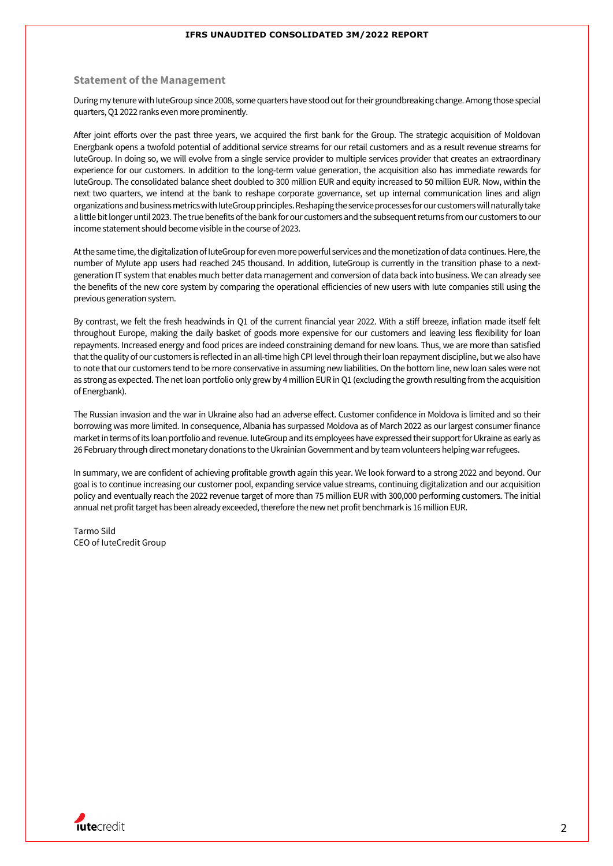#### **Statement of the Management**

During my tenure with luteGroup since 2008, some quarters have stood out for their groundbreaking change. Among those special quarters, Q1 2022 ranks even more prominently.

After joint efforts over the past three years, we acquired the first bank for the Group. The strategic acquisition of Moldovan Energbank opens a twofold potential of additional service streams for our retail customers and as a result revenue streams for IuteGroup. In doing so, we will evolve from a single service provider to multiple services provider that creates an extraordinary experience for our customers. In addition to the long-term value generation, the acquisition also has immediate rewards for IuteGroup. The consolidated balance sheet doubled to 300 million EUR and equity increased to 50 million EUR. Now, within the next two quarters, we intend at the bank to reshape corporate governance, set up internal communication lines and align organizations and business metricswith IuteGroup principles. Reshapingthe service processes for our customers will naturally take a little bit longer until 2023. The true benefits of the bank for our customers and the subsequent returns from our customers to our income statement should become visible in the course of 2023.

At the same time, the digitalization of IuteGroup for even more powerful services and the monetization of data continues. Here, the number of MyIute app users had reached 245 thousand. In addition, IuteGroup is currently in the transition phase to a nextgeneration IT system that enables much better data management and conversion of data back into business. We can already see the benefits of the new core system by comparing the operational efficiencies of new users with Iute companies still using the previous generation system.

By contrast, we felt the fresh headwinds in Q1 of the current financial year 2022. With a stiff breeze, inflation made itself felt throughout Europe, making the daily basket of goods more expensive for our customers and leaving less flexibility for loan repayments. Increased energy and food prices are indeed constraining demand for new loans. Thus, we are more than satisfied that the quality of our customers is reflected in an all-time high CPI level through their loan repayment discipline, but we also have to note that our customers tend to be more conservative in assuming new liabilities. On the bottom line, new loan sales were not as strong as expected. The net loan portfolio only grew by 4 million EUR in Q1 (excluding the growth resulting from the acquisition of Energbank).

The Russian invasion and the war in Ukraine also had an adverse effect. Customer confidence in Moldova is limited and so their borrowing was more limited. In consequence, Albania has surpassed Moldova as of March 2022 as our largest consumer finance market in terms of its loan portfolio and revenue. IuteGroup and its employees have expressed their support for Ukraine as early as 26 February through direct monetary donations to the Ukrainian Government and by team volunteers helping war refugees.

In summary, we are confident of achieving profitable growth again this year. We look forward to a strong 2022 and beyond. Our goal is to continue increasing our customer pool, expanding service value streams, continuing digitalization and our acquisition policy and eventually reach the 2022 revenue target of more than 75 million EUR with 300,000 performing customers. The initial annual net profit target has been already exceeded, therefore the new net profit benchmark is 16 million EUR.

Tarmo Sild CEO of IuteCredit Group

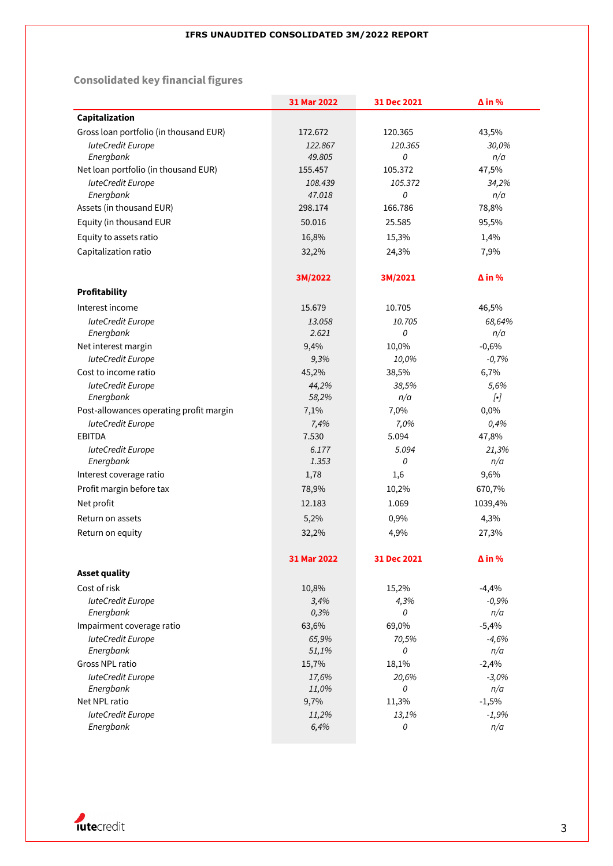# **Consolidated key financial figures**

|                                         | 31 Mar 2022 | 31 Dec 2021 | $\Delta$ in %        |
|-----------------------------------------|-------------|-------------|----------------------|
| Capitalization                          |             |             |                      |
| Gross loan portfolio (in thousand EUR)  | 172.672     | 120.365     | 43,5%                |
| <b>IuteCredit Europe</b>                | 122.867     | 120.365     | 30,0%                |
| Energbank                               | 49.805      | 0           | n/a                  |
| Net loan portfolio (in thousand EUR)    | 155.457     | 105.372     | 47,5%                |
| <b>IuteCredit Europe</b>                | 108.439     | 105.372     | 34,2%                |
| Energbank                               | 47.018      | 0           | n/a                  |
| Assets (in thousand EUR)                | 298.174     | 166.786     | 78,8%                |
| Equity (in thousand EUR                 | 50.016      | 25.585      | 95,5%                |
| Equity to assets ratio                  | 16,8%       | 15,3%       | 1,4%                 |
| Capitalization ratio                    | 32,2%       | 24,3%       | 7,9%                 |
|                                         |             |             |                      |
|                                         | 3M/2022     | 3M/2021     | $\Delta$ in %        |
| <b>Profitability</b>                    |             |             |                      |
| Interest income                         | 15.679      | 10.705      | 46,5%                |
| <b>luteCredit Europe</b>                | 13.058      | 10.705      | 68,64%               |
| Energbank                               | 2.621       | 0           | n/a                  |
| Net interest margin                     | 9,4%        | 10,0%       | $-0,6%$              |
| <b>IuteCredit Europe</b>                | 9,3%        | 10,0%       | $-0,7%$              |
| Cost to income ratio                    | 45,2%       | 38,5%       | 6,7%                 |
| <b>IuteCredit Europe</b>                | 44,2%       | 38,5%       | 5,6%                 |
| Energbank                               | 58,2%       | n/a         | $\left[\cdot\right]$ |
| Post-allowances operating profit margin | 7,1%        | 7,0%        | 0,0%                 |
| <b>IuteCredit Europe</b>                | 7,4%        | 7,0%        | 0,4%                 |
| <b>EBITDA</b>                           | 7.530       | 5.094       | 47,8%                |
| <b>IuteCredit Europe</b>                | 6.177       | 5.094       | 21,3%                |
| Energbank                               | 1.353       | 0           | n/a                  |
| Interest coverage ratio                 | 1,78        | 1,6         | 9,6%                 |
| Profit margin before tax                | 78,9%       | 10,2%       | 670,7%               |
| Net profit                              | 12.183      | 1.069       | 1039,4%              |
| Return on assets                        | 5,2%        | 0,9%        | 4,3%                 |
| Return on equity                        | 32,2%       | 4,9%        | 27,3%                |
|                                         |             |             |                      |
|                                         | 31 Mar 2022 | 31 Dec 2021 | $\Delta$ in %        |
| <b>Asset quality</b>                    |             |             |                      |
| Cost of risk                            | 10,8%       | 15,2%       | $-4,4%$              |
| <b>IuteCredit Europe</b>                | 3,4%        | 4,3%        | $-0,9%$              |
| Energbank                               | 0,3%        | 0           | n/a                  |
| Impairment coverage ratio               | 63,6%       | 69,0%       | $-5,4%$              |
| <b>IuteCredit Europe</b>                | 65,9%       | 70,5%       | $-4,6%$              |
| Energbank                               | 51,1%       | 0           | n/a                  |
| Gross NPL ratio                         | 15,7%       | 18,1%       | $-2,4%$              |
| <b>IuteCredit Europe</b>                | 17,6%       | 20,6%       | $-3,0%$              |
| Energbank                               | 11,0%       | 0           | n/a                  |
| Net NPL ratio                           | 9,7%        | 11,3%       | $-1,5%$              |
| <b>IuteCredit Europe</b>                | 11,2%       | 13,1%       | $-1,9%$              |
| Energbank                               | 6,4%        | 0           | n/a                  |

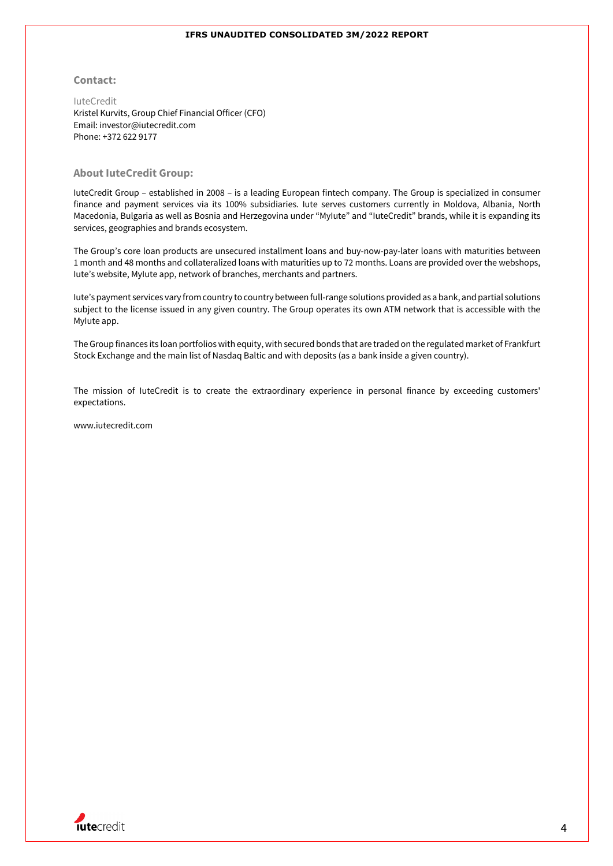#### **Contact:**

IuteCredit Kristel Kurvits, Group Chief Financial Officer (CFO) Email: investor@iutecredit.com Phone: +372 622 9177

#### **About IuteCredit Group:**

IuteCredit Group – established in 2008 – is a leading European fintech company. The Group is specialized in consumer finance and payment services via its 100% subsidiaries. Iute serves customers currently in Moldova, Albania, North Macedonia, Bulgaria as well as Bosnia and Herzegovina under "MyIute" and "IuteCredit" brands, while it is expanding its services, geographies and brands ecosystem.

The Group's core loan products are unsecured installment loans and buy-now-pay-later loans with maturities between 1 month and 48 months and collateralized loans with maturities up to 72 months. Loans are provided over the webshops, Iute's website, MyIute app, network of branches, merchants and partners.

Iute's payment services vary from country to country between full-range solutions provided as a bank, and partial solutions subject to the license issued in any given country. The Group operates its own ATM network that is accessible with the MyIute app.

The Group finances its loan portfolios with equity, with secured bonds that are traded on the regulated market of Frankfurt Stock Exchange and the main list of Nasdaq Baltic and with deposits (as a bank inside a given country).

The mission of IuteCredit is to create the extraordinary experience in personal finance by exceeding customers' expectations.

www.iutecredit.com

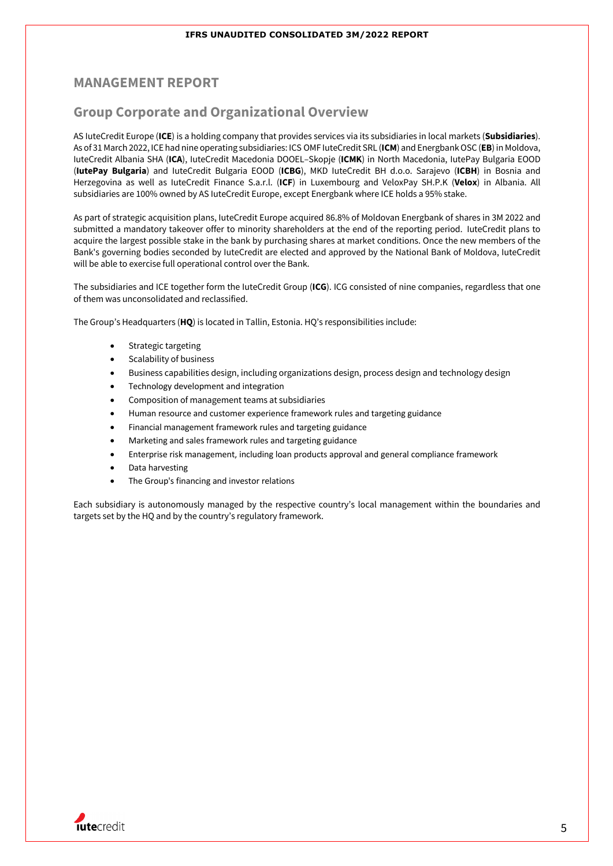## **MANAGEMENT REPORT**

## **Group Corporate and Organizational Overview**

AS IuteCredit Europe (**ICE**) is a holding company that provides services via its subsidiaries in local markets (**Subsidiaries**). As of 31 March 2022, ICE had nine operating subsidiaries: ICS OMF IuteCredit SRL (**ICM**) and Energbank OSC (**EB**) in Moldova, IuteCredit Albania SHA (**ICA**), IuteCredit Macedonia DOOEL–Skopje (**ICMK**) in North Macedonia, IutePay Bulgaria EOOD (**IutePay Bulgaria**) and IuteCredit Bulgaria EOOD (**ICBG**), MKD IuteCredit BH d.o.o. Sarajevo (**ICBH**) in Bosnia and Herzegovina as well as IuteCredit Finance S.a.r.l. (**ICF**) in Luxembourg and VeloxPay SH.P.K (**Velox**) in Albania. All subsidiaries are 100% owned by AS IuteCredit Europe, except Energbank where ICE holds a 95% stake.

As part of strategic acquisition plans, IuteCredit Europe acquired 86.8% of Moldovan Energbank of shares in 3M 2022 and submitted a mandatory takeover offer to minority shareholders at the end of the reporting period. IuteCredit plans to acquire the largest possible stake in the bank by purchasing shares at market conditions. Once the new members of the Bank's governing bodies seconded by IuteCredit are elected and approved by the National Bank of Moldova, IuteCredit will be able to exercise full operational control over the Bank.

The subsidiaries and ICE together form the IuteCredit Group (**ICG**). ICG consisted of nine companies, regardless that one of them was unconsolidated and reclassified.

The Group's Headquarters (**HQ**) is located in Tallin, Estonia. HQ's responsibilities include:

- Strategic targeting
- Scalability of business
- Business capabilities design, including organizations design, process design and technology design
- Technology development and integration
- Composition of management teams at subsidiaries
- Human resource and customer experience framework rules and targeting guidance
- Financial management framework rules and targeting guidance
- Marketing and sales framework rules and targeting guidance
- Enterprise risk management, including loan products approval and general compliance framework
- Data harvesting
- The Group's financing and investor relations

Each subsidiary is autonomously managed by the respective country's local management within the boundaries and targets set by the HQ and by the country's regulatory framework.

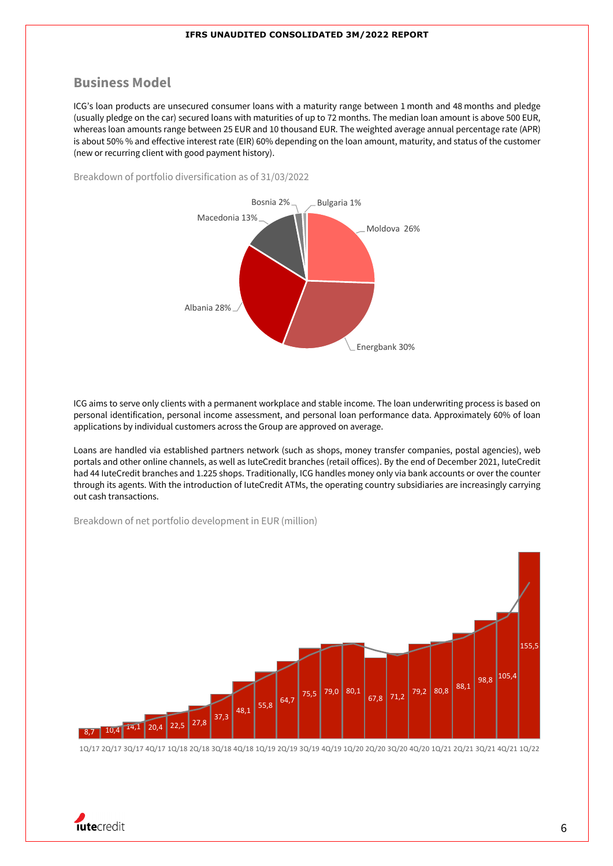## **Business Model**

ICG's loan products are unsecured consumer loans with a maturity range between 1 month and 48 months and pledge (usually pledge on the car) secured loans with maturities of up to 72 months. The median loan amount is above 500 EUR, whereas loan amounts range between 25 EUR and 10 thousand EUR. The weighted average annual percentage rate (APR) is about 50% % and effective interest rate (EIR) 60% depending on the loan amount, maturity, and status of the customer (new or recurring client with good payment history).

Breakdown of portfolio diversification as of 31/03/2022



ICG aims to serve only clients with a permanent workplace and stable income. The loan underwriting process is based on personal identification, personal income assessment, and personal loan performance data. Approximately 60% of loan applications by individual customers across the Group are approved on average.

Loans are handled via established partners network (such as shops, money transfer companies, postal agencies), web portals and other online channels, as well as IuteCredit branches (retail offices). By the end of December 2021, IuteCredit had 44 IuteCredit branches and 1.225 shops. Traditionally, ICG handles money only via bank accounts or over the counter through its agents. With the introduction of IuteCredit ATMs, the operating country subsidiaries are increasingly carrying out cash transactions.

Breakdown of net portfolio development in EUR (million)



1Q/17 2Q/17 3Q/17 4Q/17 1Q/18 2Q/18 3Q/18 4Q/18 1Q/19 2Q/19 3Q/19 4Q/19 1Q/20 2Q/20 3Q/20 4Q/20 1Q/21 2Q/21 3Q/21 4Q/21 1Q/22

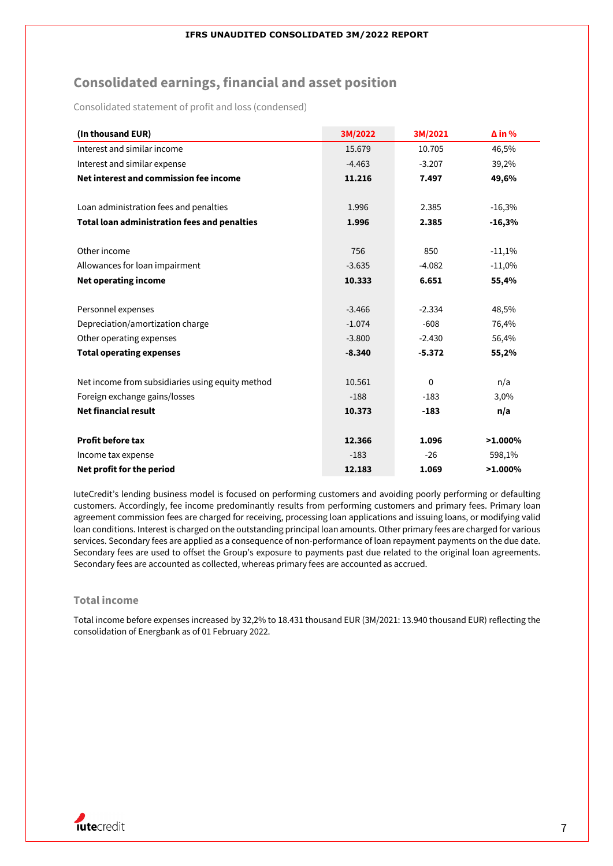# **Consolidated earnings, financial and asset position**

Consolidated statement of profit and loss (condensed)

| (In thousand EUR)                                                                                                     | 3M/2022                                      | 3M/2021                                    | $\Delta$ in %                    |
|-----------------------------------------------------------------------------------------------------------------------|----------------------------------------------|--------------------------------------------|----------------------------------|
| Interest and similar income                                                                                           | 15.679                                       | 10.705                                     | 46,5%                            |
| Interest and similar expense                                                                                          | $-4.463$                                     | $-3.207$                                   | 39,2%                            |
| Net interest and commission fee income                                                                                | 11.216                                       | 7.497                                      | 49,6%                            |
| Loan administration fees and penalties                                                                                | 1.996                                        | 2.385                                      | $-16,3%$                         |
| <b>Total loan administration fees and penalties</b>                                                                   | 1.996                                        | 2.385                                      | $-16,3%$                         |
| Other income<br>Allowances for loan impairment<br><b>Net operating income</b>                                         | 756<br>$-3.635$<br>10.333                    | 850<br>$-4.082$<br>6.651                   | $-11,1%$<br>$-11,0%$<br>55,4%    |
| Personnel expenses<br>Depreciation/amortization charge<br>Other operating expenses<br><b>Total operating expenses</b> | $-3.466$<br>$-1.074$<br>$-3.800$<br>$-8.340$ | $-2.334$<br>$-608$<br>$-2.430$<br>$-5.372$ | 48,5%<br>76,4%<br>56,4%<br>55,2% |
| Net income from subsidiaries using equity method<br>Foreign exchange gains/losses<br><b>Net financial result</b>      | 10.561<br>$-188$<br>10.373                   | $\mathbf 0$<br>$-183$<br>$-183$            | n/a<br>3,0%<br>n/a               |
| <b>Profit before tax</b>                                                                                              | 12.366                                       | 1.096                                      | $>1.000\%$                       |
| Income tax expense                                                                                                    | $-183$                                       | $-26$                                      | 598,1%                           |
| Net profit for the period                                                                                             | 12.183                                       | 1.069                                      | $>1.000\%$                       |

IuteCredit's lending business model is focused on performing customers and avoiding poorly performing or defaulting customers. Accordingly, fee income predominantly results from performing customers and primary fees. Primary loan agreement commission fees are charged for receiving, processing loan applications and issuing loans, or modifying valid loan conditions. Interest is charged on the outstanding principal loan amounts. Other primary fees are charged for various services. Secondary fees are applied as a consequence of non-performance of loan repayment payments on the due date. Secondary fees are used to offset the Group's exposure to payments past due related to the original loan agreements. Secondary fees are accounted as collected, whereas primary fees are accounted as accrued.

### **Total income**

Total income before expenses increased by 32,2% to 18.431 thousand EUR (3M/2021: 13.940 thousand EUR) reflecting the consolidation of Energbank as of 01 February 2022.

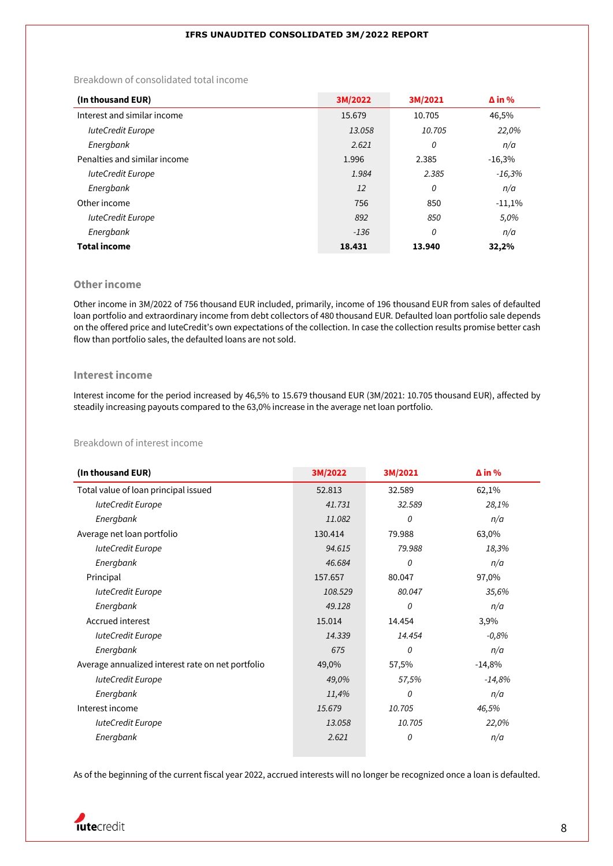## Breakdown of consolidated total income

| (In thousand EUR)            | 3M/2022 | 3M/2021 | $\Delta$ in % |
|------------------------------|---------|---------|---------------|
| Interest and similar income  | 15.679  | 10.705  | 46,5%         |
| <b>IuteCredit Europe</b>     | 13.058  | 10.705  | 22,0%         |
| Energbank                    | 2.621   | 0       | n/a           |
| Penalties and similar income | 1.996   | 2.385   | $-16,3%$      |
| <b>IuteCredit Europe</b>     | 1.984   | 2.385   | $-16,3%$      |
| Energbank                    | 12      | 0       | n/a           |
| Other income                 | 756     | 850     | $-11,1%$      |
| <b>IuteCredit Europe</b>     | 892     | 850     | 5,0%          |
| Energbank                    | $-136$  | 0       | n/a           |
| <b>Total income</b>          | 18.431  | 13.940  | 32,2%         |

### **Other income**

Other income in 3M/2022 of 756 thousand EUR included, primarily, income of 196 thousand EUR from sales of defaulted loan portfolio and extraordinary income from debt collectors of 480 thousand EUR. Defaulted loan portfolio sale depends on the offered price and IuteCredit's own expectations of the collection. In case the collection results promise better cash flow than portfolio sales, the defaulted loans are not sold.

#### **Interest income**

Interest income for the period increased by 46,5% to 15.679 thousand EUR (3M/2021: 10.705 thousand EUR), affected by steadily increasing payouts compared to the 63,0% increase in the average net loan portfolio.

### Breakdown of interest income

| (In thousand EUR)                                 | 3M/2022 | 3M/2021 | $\Delta$ in % |
|---------------------------------------------------|---------|---------|---------------|
| Total value of loan principal issued              | 52.813  | 32.589  | 62,1%         |
| <b>luteCredit Europe</b>                          | 41.731  | 32.589  | 28,1%         |
| Energbank                                         | 11.082  | 0       | n/a           |
| Average net loan portfolio                        | 130.414 | 79.988  | 63,0%         |
| <b>IuteCredit Europe</b>                          | 94.615  | 79.988  | 18,3%         |
| Energbank                                         | 46.684  | 0       | n/a           |
| Principal                                         | 157.657 | 80.047  | 97,0%         |
| <b>IuteCredit Europe</b>                          | 108.529 | 80.047  | 35,6%         |
| Energbank                                         | 49.128  | 0       | n/a           |
| Accrued interest                                  | 15.014  | 14.454  | 3,9%          |
| <b>IuteCredit Europe</b>                          | 14.339  | 14.454  | $-0,8%$       |
| Energbank                                         | 675     | 0       | n/a           |
| Average annualized interest rate on net portfolio | 49,0%   | 57,5%   | $-14,8%$      |
| <b>IuteCredit Europe</b>                          | 49,0%   | 57,5%   | $-14,8%$      |
| Energbank                                         | 11,4%   | 0       | n/a           |
| Interest income                                   | 15.679  | 10.705  | 46,5%         |
| luteCredit Europe                                 | 13.058  | 10.705  | 22,0%         |
| Energbank                                         | 2.621   | 0       | n/a           |

As of the beginning of the current fiscal year 2022, accrued interests will no longer be recognized once a loan is defaulted.

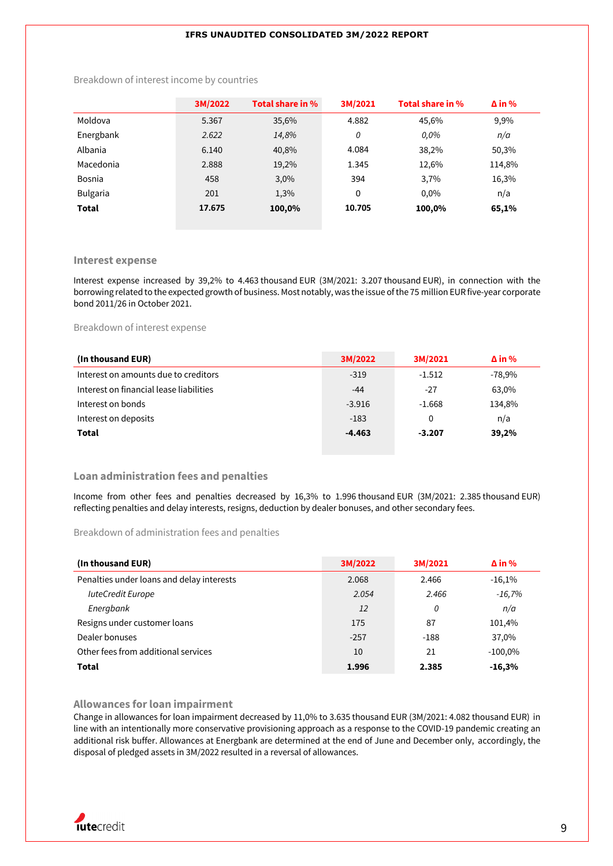|                 | 3M/2022 | Total share in % | 3M/2021 | Total share in % | $\Delta$ in % |
|-----------------|---------|------------------|---------|------------------|---------------|
| Moldova         | 5.367   | 35,6%            | 4.882   | 45.6%            | 9,9%          |
| Energbank       | 2.622   | 14,8%            | 0       | $0.0\%$          | n/a           |
| Albania         | 6.140   | 40,8%            | 4.084   | 38,2%            | 50,3%         |
| Macedonia       | 2.888   | 19,2%            | 1.345   | 12,6%            | 114,8%        |
| Bosnia          | 458     | 3,0%             | 394     | 3,7%             | 16,3%         |
| <b>Bulgaria</b> | 201     | 1,3%             | 0       | $0.0\%$          | n/a           |
| <b>Total</b>    | 17.675  | 100,0%           | 10.705  | 100,0%           | 65,1%         |

Breakdown of interest income by countries

#### **Interest expense**

Interest expense increased by 39,2% to 4.463 thousand EUR (3M/2021: 3.207 thousand EUR), in connection with the borrowing related to the expected growth of business. Most notably, was the issue of the 75 million EUR five-year corporate bond 2011/26 in October 2021.

Breakdown of interest expense

| (In thousand EUR)                       | 3M/2022  | 3M/2021  | $\Delta$ in % |
|-----------------------------------------|----------|----------|---------------|
| Interest on amounts due to creditors    | $-319$   | $-1.512$ | $-78,9%$      |
| Interest on financial lease liabilities | $-44$    | $-27$    | 63,0%         |
| Interest on bonds                       | $-3.916$ | $-1.668$ | 134,8%        |
| Interest on deposits                    | $-183$   | 0        | n/a           |
| Total                                   | $-4.463$ | $-3.207$ | 39,2%         |

#### **Loan administration fees and penalties**

Income from other fees and penalties decreased by 16,3% to 1.996 thousand EUR (3M/2021: 2.385 thousand EUR) reflecting penalties and delay interests, resigns, deduction by dealer bonuses, and other secondary fees.

#### Breakdown of administration fees and penalties

| (In thousand EUR)                         | 3M/2022 | 3M/2021 | $\Delta$ in % |
|-------------------------------------------|---------|---------|---------------|
| Penalties under loans and delay interests | 2.068   | 2.466   | $-16,1%$      |
| luteCredit Europe                         | 2.054   | 2.466   | $-16,7%$      |
| Energbank                                 | 12      | 0       | n/a           |
| Resigns under customer loans              | 175     | 87      | 101,4%        |
| Dealer bonuses                            | $-257$  | $-188$  | 37,0%         |
| Other fees from additional services       | 10      | 21      | $-100,0%$     |
| Total                                     | 1.996   | 2.385   | $-16,3%$      |

#### **Allowances for loan impairment**

Change in allowances for loan impairment decreased by 11,0% to 3.635 thousand EUR (3M/2021: 4.082 thousand EUR) in line with an intentionally more conservative provisioning approach as a response to the COVID-19 pandemic creating an additional risk buffer. Allowances at Energbank are determined at the end of June and December only, accordingly, the disposal of pledged assets in 3M/2022 resulted in a reversal of allowances.

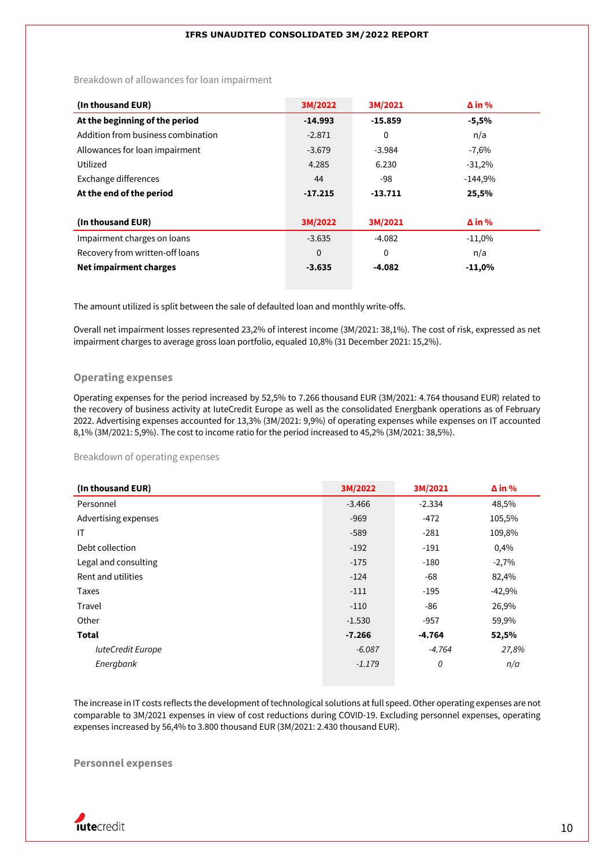Breakdown of allowances for loan impairment

| (In thousand EUR)                  | 3M/2022   | 3M/2021   | $\Delta$ in % |
|------------------------------------|-----------|-----------|---------------|
| At the beginning of the period     | $-14.993$ | $-15.859$ | $-5,5%$       |
| Addition from business combination | $-2.871$  | 0         | n/a           |
| Allowances for loan impairment     | $-3.679$  | $-3.984$  | $-7,6%$       |
| Utilized                           | 4.285     | 6.230     | $-31,2%$      |
| Exchange differences               | 44        | -98       | $-144,9%$     |
| At the end of the period           | $-17.215$ | $-13.711$ | 25,5%         |
|                                    |           |           |               |
| (In thousand EUR)                  | 3M/2022   | 3M/2021   | $\Delta$ in % |
| Impairment charges on loans        | $-3.635$  | $-4.082$  | $-11,0%$      |
| Recovery from written-off loans    | $\Omega$  | $\Omega$  | n/a           |
| Net impairment charges             | $-3.635$  | $-4.082$  | $-11,0%$      |

The amount utilized is split between the sale of defaulted loan and monthly write-offs.

Overall net impairment losses represented 23,2% of interest income (3M/2021: 38,1%). The cost of risk, expressed as net impairment charges to average gross loan portfolio, equaled 10,8% (31 December 2021: 15,2%).

### **Operating expenses**

Operating expenses for the period increased by 52,5% to 7.266 thousand EUR (3M/2021: 4.764 thousand EUR) related to the recovery of business activity at IuteCredit Europe as well as the consolidated Energbank operations as of February 2022. Advertising expenses accounted for 13,3% (3M/2021: 9,9%) of operating expenses while expenses on IT accounted 8,1% (3M/2021: 5,9%). The cost to income ratio for the period increased to 45,2% (3M/2021: 38,5%).

Breakdown of operating expenses

| (In thousand EUR)        | 3M/2022  | 3M/2021  | $\Delta$ in % |
|--------------------------|----------|----------|---------------|
| Personnel                | $-3.466$ | $-2.334$ | 48,5%         |
| Advertising expenses     | $-969$   | $-472$   | 105,5%        |
| IT                       | $-589$   | $-281$   | 109,8%        |
| Debt collection          | $-192$   | $-191$   | 0,4%          |
| Legal and consulting     | $-175$   | $-180$   | $-2,7%$       |
| Rent and utilities       | $-124$   | -68      | 82,4%         |
| Taxes                    | $-111$   | $-195$   | $-42,9%$      |
| Travel                   | $-110$   | -86      | 26,9%         |
| Other                    | $-1.530$ | $-957$   | 59,9%         |
| <b>Total</b>             | $-7.266$ | $-4.764$ | 52,5%         |
| <b>IuteCredit Europe</b> | $-6.087$ | $-4.764$ | 27,8%         |
| Energbank                | $-1.179$ | 0        | n/a           |

The increase in IT costs reflects the development of technological solutions at full speed. Other operating expenses are not comparable to 3M/2021 expenses in view of cost reductions during COVID-19. Excluding personnel expenses, operating expenses increased by 56,4% to 3.800 thousand EUR (3M/2021: 2.430 thousand EUR).

## **Personnel expenses**

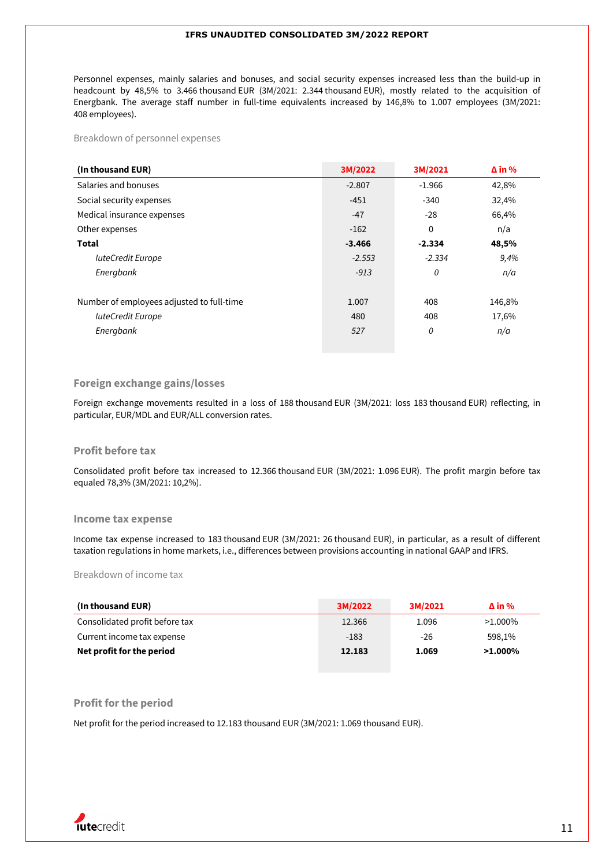Personnel expenses, mainly salaries and bonuses, and social security expenses increased less than the build-up in headcount by 48,5% to 3.466 thousand EUR (3M/2021: 2.344 thousand EUR), mostly related to the acquisition of Energbank. The average staff number in full-time equivalents increased by 146,8% to 1.007 employees (3M/2021: 408 employees).

Breakdown of personnel expenses

| (In thousand EUR)                         | 3M/2022  | 3M/2021  | $\Delta$ in % |
|-------------------------------------------|----------|----------|---------------|
| Salaries and bonuses                      | $-2.807$ | $-1.966$ | 42,8%         |
| Social security expenses                  | $-451$   | $-340$   | 32,4%         |
| Medical insurance expenses                | $-47$    | $-28$    | 66,4%         |
| Other expenses                            | $-162$   | 0        | n/a           |
| Total                                     | $-3.466$ | $-2.334$ | 48,5%         |
| <b>IuteCredit Europe</b>                  | $-2.553$ | $-2.334$ | 9,4%          |
| Energbank                                 | $-913$   | 0        | n/a           |
|                                           |          |          |               |
| Number of employees adjusted to full-time | 1.007    | 408      | 146,8%        |
| <b>IuteCredit Europe</b>                  | 480      | 408      | 17,6%         |
| Energbank                                 | 527      | 0        | n/a           |
|                                           |          |          |               |

### **Foreign exchange gains/losses**

Foreign exchange movements resulted in a loss of 188 thousand EUR (3M/2021: loss 183 thousand EUR) reflecting, in particular, EUR/MDL and EUR/ALL conversion rates.

#### **Profit before tax**

Consolidated profit before tax increased to 12.366 thousand EUR (3M/2021: 1.096 EUR). The profit margin before tax equaled 78,3% (3M/2021: 10,2%).

#### **Income tax expense**

Income tax expense increased to 183 thousand EUR (3M/2021: 26 thousand EUR), in particular, as a result of different taxation regulations in home markets, i.e., differences between provisions accounting in national GAAP and IFRS.

#### Breakdown of income tax

| (In thousand EUR)              | 3M/2022 | 3M/2021 | $\Delta$ in % |
|--------------------------------|---------|---------|---------------|
| Consolidated profit before tax | 12.366  | 1.096   | $>1.000\%$    |
| Current income tax expense     | $-183$  | $-26$   | 598.1%        |
| Net profit for the period      | 12.183  | 1.069   | $>1.000\%$    |

### **Profit for the period**

Net profit for the period increased to 12.183 thousand EUR (3M/2021: 1.069 thousand EUR).

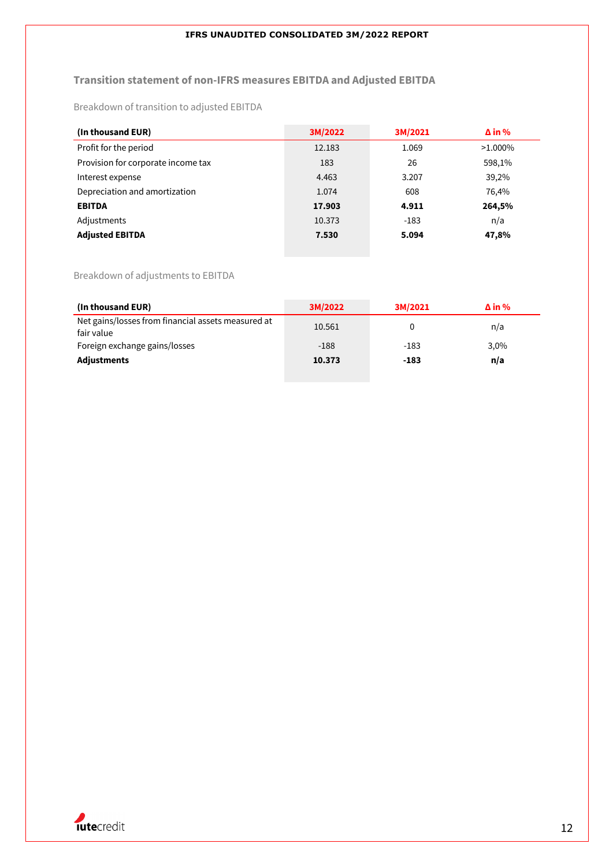## **Transition statement of non-IFRS measures EBITDA and Adjusted EBITDA**

Breakdown of transition to adjusted EBITDA

| (In thousand EUR)                  | 3M/2022 | 3M/2021 | $\Delta$ in % |
|------------------------------------|---------|---------|---------------|
| Profit for the period              | 12.183  | 1.069   | $>1.000\%$    |
| Provision for corporate income tax | 183     | 26      | 598,1%        |
| Interest expense                   | 4.463   | 3.207   | 39,2%         |
| Depreciation and amortization      | 1.074   | 608     | 76,4%         |
| <b>EBITDA</b>                      | 17.903  | 4.911   | 264,5%        |
| Adjustments                        | 10.373  | $-183$  | n/a           |
| <b>Adjusted EBITDA</b>             | 7.530   | 5.094   | 47,8%         |

## Breakdown of adjustments to EBITDA

| (In thousand EUR)                                                | 3M/2022 | 3M/2021 | $\Delta$ in % |
|------------------------------------------------------------------|---------|---------|---------------|
| Net gains/losses from financial assets measured at<br>fair value | 10.561  | 0       | n/a           |
| Foreign exchange gains/losses                                    | $-188$  | $-183$  | 3,0%          |
| <b>Adjustments</b>                                               | 10.373  | $-183$  | n/a           |

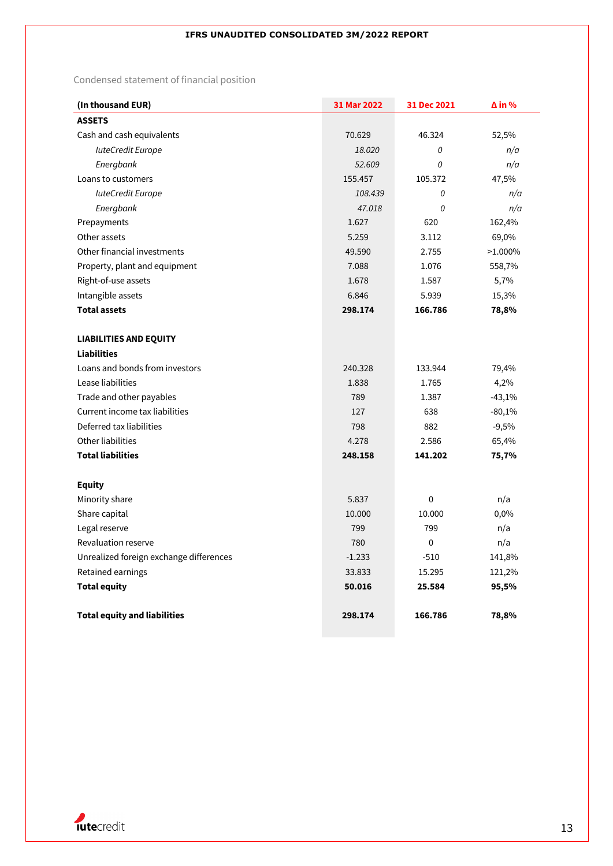Condensed statement of financial position

| (In thousand EUR)                       | 31 Mar 2022 | 31 Dec 2021 | $\Delta$ in % |
|-----------------------------------------|-------------|-------------|---------------|
| <b>ASSETS</b>                           |             |             |               |
| Cash and cash equivalents               | 70.629      | 46.324      | 52,5%         |
| <b>luteCredit Europe</b>                | 18.020      | 0           | n/a           |
| Energbank                               | 52.609      | 0           | n/a           |
| Loans to customers                      | 155.457     | 105.372     | 47,5%         |
| <b>luteCredit Europe</b>                | 108.439     | 0           | n/a           |
| Energbank                               | 47.018      | 0           | n/a           |
| Prepayments                             | 1.627       | 620         | 162,4%        |
| Other assets                            | 5.259       | 3.112       | 69,0%         |
| Other financial investments             | 49.590      | 2.755       | $>1.000\%$    |
| Property, plant and equipment           | 7.088       | 1.076       | 558,7%        |
| Right-of-use assets                     | 1.678       | 1.587       | 5,7%          |
| Intangible assets                       | 6.846       | 5.939       | 15,3%         |
| <b>Total assets</b>                     | 298.174     | 166.786     | 78,8%         |
|                                         |             |             |               |
| <b>LIABILITIES AND EQUITY</b>           |             |             |               |
| <b>Liabilities</b>                      |             |             |               |
| Loans and bonds from investors          | 240.328     | 133.944     | 79,4%         |
| Lease liabilities                       | 1.838       | 1.765       | 4,2%          |
| Trade and other payables                | 789         | 1.387       | $-43,1%$      |
| Current income tax liabilities          | 127         | 638         | $-80,1%$      |
| Deferred tax liabilities                | 798         | 882         | $-9,5%$       |
| Other liabilities                       | 4.278       | 2.586       | 65,4%         |
| <b>Total liabilities</b>                | 248.158     | 141.202     | 75,7%         |
|                                         |             |             |               |
| <b>Equity</b>                           |             |             |               |
| Minority share                          | 5.837       | 0           | n/a           |
| Share capital                           | 10.000      | 10.000      | 0,0%          |
| Legal reserve                           | 799         | 799         | n/a           |
| Revaluation reserve                     | 780         | 0           | n/a           |
| Unrealized foreign exchange differences | $-1.233$    | $-510$      | 141,8%        |
| Retained earnings                       | 33.833      | 15.295      | 121,2%        |
| <b>Total equity</b>                     | 50.016      | 25.584      | 95,5%         |
| <b>Total equity and liabilities</b>     | 298.174     | 166.786     | 78,8%         |

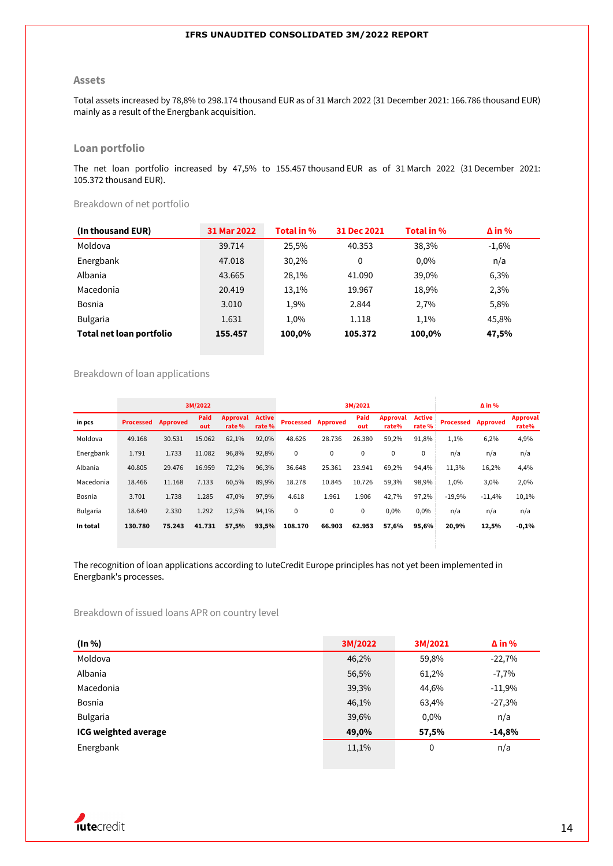#### **Assets**

Total assets increased by 78,8% to 298.174 thousand EUR as of 31 March 2022 (31 December 2021: 166.786 thousand EUR) mainly as a result of the Energbank acquisition.

## **Loan portfolio**

The net loan portfolio increased by 47,5% to 155.457 thousand EUR as of 31 March 2022 (31 December 2021: 105.372 thousand EUR).

Breakdown of net portfolio

| (In thousand EUR)        | 31 Mar 2022 | Total in % | 31 Dec 2021 | Total in % | $\Delta$ in % |
|--------------------------|-------------|------------|-------------|------------|---------------|
| Moldova                  | 39.714      | 25.5%      | 40.353      | 38,3%      | $-1,6%$       |
| Energbank                | 47.018      | 30,2%      | 0           | $0.0\%$    | n/a           |
| Albania                  | 43.665      | 28.1%      | 41.090      | 39,0%      | 6,3%          |
| Macedonia                | 20.419      | 13,1%      | 19.967      | 18,9%      | 2,3%          |
| <b>Bosnia</b>            | 3.010       | 1,9%       | 2.844       | 2.7%       | 5,8%          |
| <b>Bulgaria</b>          | 1.631       | 1.0%       | 1.118       | 1.1%       | 45.8%         |
| Total net loan portfolio | 155.457     | 100,0%     | 105.372     | 100,0%     | 47,5%         |

#### Breakdown of loan applications

|                 |                  |                 | 3M/2022     |                          |                         |                  |                 | 3M/2021     |                   |                  |                  | $\Delta$ in %   |                          |
|-----------------|------------------|-----------------|-------------|--------------------------|-------------------------|------------------|-----------------|-------------|-------------------|------------------|------------------|-----------------|--------------------------|
| in pcs          | <b>Processed</b> | <b>Approved</b> | Paid<br>out | <b>Approval</b><br>rate% | <b>Active</b><br>rate % | <b>Processed</b> | <b>Approved</b> | Paid<br>out | Approval<br>rate% | Active<br>rate % | <b>Processed</b> | <b>Approved</b> | <b>Approval</b><br>rate% |
| Moldova         | 49.168           | 30.531          | 15.062      | 62,1%                    | 92,0%                   | 48.626           | 28.736          | 26.380      | 59,2%             | 91,8%            | 1,1%             | 6,2%            | 4,9%                     |
| Energbank       | 1.791            | 1.733           | 11.082      | 96,8%                    | 92,8%                   | $\mathbf 0$      | $\mathbf 0$     | 0           | 0                 | $\mathbf 0$      | n/a              | n/a             | n/a                      |
| Albania         | 40.805           | 29.476          | 16.959      | 72,2%                    | 96,3%                   | 36.648           | 25.361          | 23.941      | 69,2%             | 94,4%            | 11,3%            | 16,2%           | 4,4%                     |
| Macedonia       | 18.466           | 11.168          | 7.133       | 60,5%                    | 89,9%                   | 18.278           | 10.845          | 10.726      | 59,3%             | 98,9%            | 1,0%             | 3,0%            | 2,0%                     |
| Bosnia          | 3.701            | 1.738           | 1.285       | 47,0%                    | 97,9%                   | 4.618            | 1.961           | 1.906       | 42,7%             | 97,2%            | $-19,9%$         | $-11,4%$        | 10,1%                    |
| <b>Bulgaria</b> | 18.640           | 2.330           | 1.292       | 12,5%                    | 94,1%                   | 0                | $\mathbf 0$     | 0           | 0,0%              | 0,0%             | n/a              | n/a             | n/a                      |
| In total        | 130.780          | 75.243          | 41.731      | 57,5%                    | 93,5%                   | 108.170          | 66.903          | 62.953      | 57,6%             | 95,6%            | 20,9%            | 12,5%           | $-0,1%$                  |
|                 |                  |                 |             |                          |                         |                  |                 |             |                   |                  |                  |                 |                          |

The recognition of loan applications according to IuteCredit Europe principles has not yet been implemented in Energbank's processes.

Breakdown of issued loans APR on country level

| (In %)                      | 3M/2022 | 3M/2021 | $\Delta$ in % |
|-----------------------------|---------|---------|---------------|
| Moldova                     | 46,2%   | 59,8%   | $-22,7%$      |
| Albania                     | 56,5%   | 61,2%   | $-7,7%$       |
| Macedonia                   | 39,3%   | 44,6%   | $-11,9%$      |
| Bosnia                      | 46,1%   | 63,4%   | $-27,3%$      |
| <b>Bulgaria</b>             | 39,6%   | 0,0%    | n/a           |
| <b>ICG weighted average</b> | 49,0%   | 57,5%   | $-14,8%$      |
| Energbank                   | 11,1%   | 0       | n/a           |

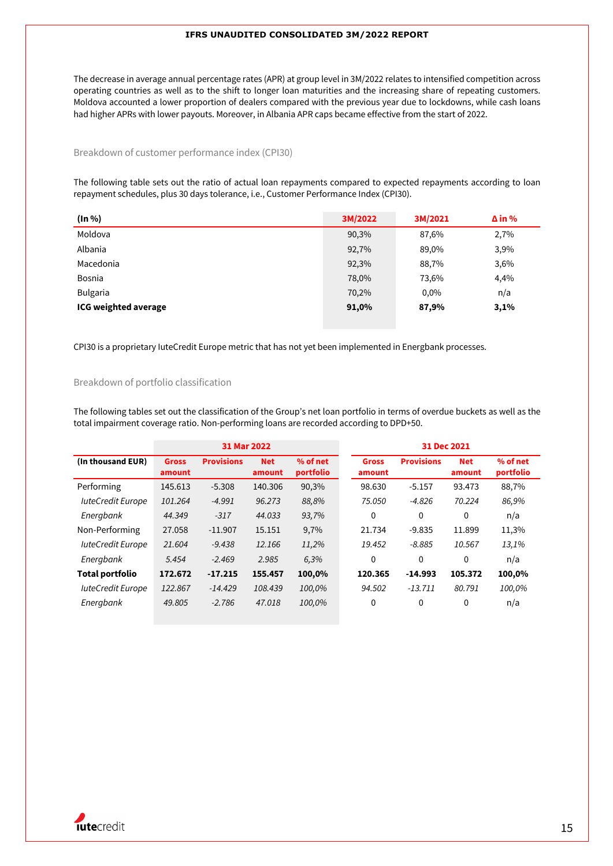The decrease in average annual percentage rates (APR) at group level in 3M/2022 relates to intensified competition across operating countries as well as to the shift to longer loan maturities and the increasing share of repeating customers. Moldova accounted a lower proportion of dealers compared with the previous year due to lockdowns, while cash loans had higher APRs with lower payouts. Moreover, in Albania APR caps became effective from the start of 2022.

#### Breakdown of customer performance index (CPI30)

The following table sets out the ratio of actual loan repayments compared to expected repayments according to loan repayment schedules, plus 30 days tolerance, i.e., Customer Performance Index (CPI30).

| (ln %)                      | 3M/2022 | 3M/2021 | $\Delta$ in % |
|-----------------------------|---------|---------|---------------|
| Moldova                     | 90,3%   | 87,6%   | 2,7%          |
| Albania                     | 92,7%   | 89,0%   | 3,9%          |
| Macedonia                   | 92,3%   | 88,7%   | 3,6%          |
| Bosnia                      | 78,0%   | 73,6%   | 4,4%          |
| <b>Bulgaria</b>             | 70,2%   | 0,0%    | n/a           |
| <b>ICG weighted average</b> | 91,0%   | 87,9%   | 3,1%          |

CPI30 is a proprietary IuteCredit Europe metric that has not yet been implemented in Energbank processes.

### Breakdown of portfolio classification

The following tables set out the classification of the Group's net loan portfolio in terms of overdue buckets as well as the total impairment coverage ratio. Non-performing loans are recorded according to DPD+50.

|                          |                        | 31 Mar 2022       |                      |                       |                        | 31 Dec 2021       |                      |                       |
|--------------------------|------------------------|-------------------|----------------------|-----------------------|------------------------|-------------------|----------------------|-----------------------|
| (In thousand EUR)        | <b>Gross</b><br>amount | <b>Provisions</b> | <b>Net</b><br>amount | % of net<br>portfolio | <b>Gross</b><br>amount | <b>Provisions</b> | <b>Net</b><br>amount | % of net<br>portfolio |
| Performing               | 145.613                | $-5.308$          | 140.306              | 90,3%                 | 98.630                 | $-5.157$          | 93.473               | 88,7%                 |
| <b>luteCredit Europe</b> | 101.264                | $-4.991$          | 96.273               | 88,8%                 | 75.050                 | $-4.826$          | 70.224               | 86,9%                 |
| Energbank                | 44.349                 | $-317$            | 44.033               | 93,7%                 | 0                      | $\Omega$          | 0                    | n/a                   |
| Non-Performing           | 27.058                 | $-11.907$         | 15.151               | 9,7%                  | 21.734                 | $-9.835$          | 11.899               | 11,3%                 |
| <b>luteCredit Europe</b> | 21.604                 | $-9.438$          | 12.166               | 11,2%                 | 19.452                 | $-8.885$          | 10.567               | 13,1%                 |
| Energbank                | 5.454                  | $-2.469$          | 2.985                | 6,3%                  | 0                      | $\Omega$          | 0                    | n/a                   |
| <b>Total portfolio</b>   | 172.672                | $-17.215$         | 155.457              | 100,0%                | 120.365                | $-14.993$         | 105.372              | 100,0%                |
| <b>luteCredit Europe</b> | 122.867                | $-14.429$         | 108.439              | 100,0%                | 94.502                 | $-13.711$         | 80.791               | 100,0%                |
| Energbank                | 49.805                 | $-2.786$          | 47.018               | 100,0%                | 0                      | 0                 | 0                    | n/a                   |

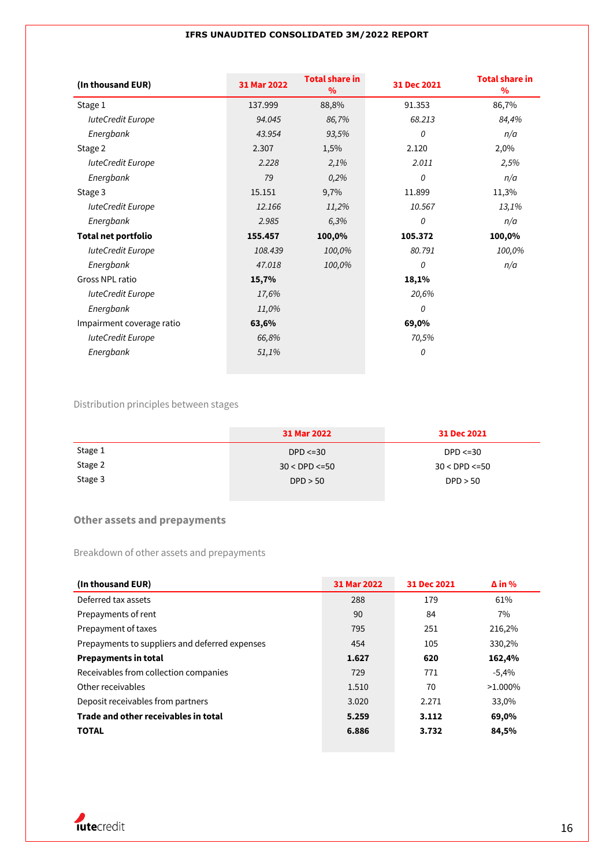| (In thousand EUR)          | 31 Mar 2022 | <b>Total share in</b><br>$\%$ | 31 Dec 2021 | <b>Total share in</b><br>% |
|----------------------------|-------------|-------------------------------|-------------|----------------------------|
| Stage 1                    | 137.999     | 88,8%                         | 91.353      | 86,7%                      |
| <b>luteCredit Europe</b>   | 94.045      | 86,7%                         | 68.213      | 84,4%                      |
| Energbank                  | 43.954      | 93,5%                         | 0           | n/a                        |
| Stage 2                    | 2.307       | 1,5%                          | 2.120       | 2,0%                       |
| luteCredit Europe          | 2.228       | 2,1%                          | 2.011       | 2,5%                       |
| Energbank                  | 79          | 0,2%                          | 0           | n/a                        |
| Stage 3                    | 15.151      | 9,7%                          | 11.899      | 11,3%                      |
| luteCredit Europe          | 12.166      | 11,2%                         | 10.567      | 13,1%                      |
| Energbank                  | 2.985       | 6,3%                          | 0           | n/a                        |
| <b>Total net portfolio</b> | 155.457     | 100,0%                        | 105.372     | 100,0%                     |
| <b>IuteCredit Europe</b>   | 108.439     | 100,0%                        | 80.791      | 100,0%                     |
| Energbank                  | 47.018      | 100,0%                        | 0           | n/a                        |
| Gross NPL ratio            | 15,7%       |                               | 18,1%       |                            |
| <b>luteCredit Europe</b>   | 17,6%       |                               | 20,6%       |                            |
| Energbank                  | 11,0%       |                               | 0           |                            |
| Impairment coverage ratio  | 63,6%       |                               | 69,0%       |                            |
| <b>luteCredit Europe</b>   | 66,8%       |                               | 70,5%       |                            |
| Energbank                  | 51,1%       |                               | 0           |                            |

## Distribution principles between stages

|         | 31 Mar 2022          | 31 Dec 2021          |
|---------|----------------------|----------------------|
| Stage 1 | $DPD \leq 30$        | $DPD < = 30$         |
| Stage 2 | $30 <$ DPD $\leq 50$ | $30 <$ DPD $\leq 50$ |
| Stage 3 | DPD > 50             | DPD > 50             |

## **Other assets and prepayments**

Breakdown of other assets and prepayments

| (In thousand EUR)                              | 31 Mar 2022 | 31 Dec 2021 | $\Delta$ in % |
|------------------------------------------------|-------------|-------------|---------------|
| Deferred tax assets                            | 288         | 179         | 61%           |
| Prepayments of rent                            | 90          | 84          | 7%            |
| Prepayment of taxes                            | 795         | 251         | 216,2%        |
| Prepayments to suppliers and deferred expenses | 454         | 105         | 330,2%        |
| <b>Prepayments in total</b>                    | 1.627       | 620         | 162,4%        |
| Receivables from collection companies          | 729         | 771         | $-5,4%$       |
| Other receivables                              | 1.510       | 70          | $>1.000\%$    |
| Deposit receivables from partners              | 3.020       | 2.271       | 33,0%         |
| Trade and other receivables in total           | 5.259       | 3.112       | 69,0%         |
| <b>TOTAL</b>                                   | 6.886       | 3.732       | 84,5%         |

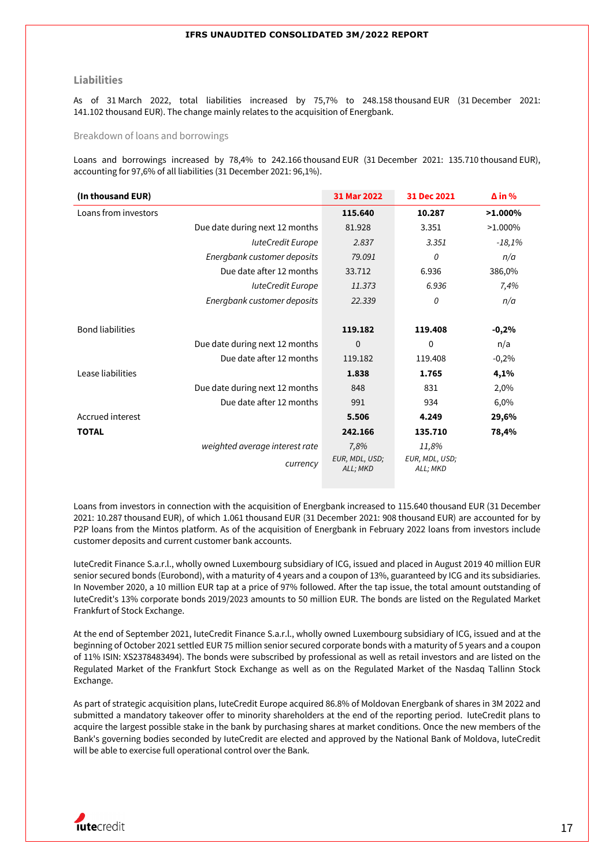#### **Liabilities**

As of 31 March 2022, total liabilities increased by 75,7% to 248.158 thousand EUR (31 December 2021: 141.102 thousand EUR). The change mainly relates to the acquisition of Energbank.

Breakdown of loans and borrowings

Loans and borrowings increased by 78,4% to 242.166 thousand EUR (31 December 2021: 135.710 thousand EUR), accounting for 97,6% of all liabilities (31 December 2021: 96,1%).

| (In thousand EUR)              | 31 Mar 2022                | 31 Dec 2021                | $\Delta$ in % |
|--------------------------------|----------------------------|----------------------------|---------------|
| Loans from investors           | 115.640                    | 10.287                     | $>1.000\%$    |
| Due date during next 12 months | 81.928                     | 3.351                      | $>1.000\%$    |
| luteCredit Europe              | 2.837                      | 3.351                      | $-18,1%$      |
| Energbank customer deposits    | 79.091                     | 0                          | n/a           |
| Due date after 12 months       | 33.712                     | 6.936                      | 386,0%        |
| <b>IuteCredit Europe</b>       | 11.373                     | 6.936                      | 7,4%          |
| Energbank customer deposits    | 22.339                     | 0                          | n/a           |
|                                |                            |                            |               |
| <b>Bond liabilities</b>        | 119.182                    | 119.408                    | $-0,2%$       |
| Due date during next 12 months | $\mathbf 0$                | 0                          | n/a           |
| Due date after 12 months       | 119.182                    | 119.408                    | $-0,2%$       |
| Lease liabilities              | 1.838                      | 1.765                      | 4,1%          |
| Due date during next 12 months | 848                        | 831                        | 2,0%          |
| Due date after 12 months       | 991                        | 934                        | 6,0%          |
| Accrued interest               | 5.506                      | 4.249                      | 29,6%         |
| <b>TOTAL</b>                   | 242.166                    | 135.710                    | 78,4%         |
| weighted average interest rate | 7,8%                       | 11,8%                      |               |
| currency                       | EUR, MDL, USD;<br>ALL; MKD | EUR, MDL, USD;<br>ALL; MKD |               |

Loans from investors in connection with the acquisition of Energbank increased to 115.640 thousand EUR (31 December 2021: 10.287 thousand EUR), of which 1.061 thousand EUR (31 December 2021: 908 thousand EUR) are accounted for by P2P loans from the Mintos platform. As of the acquisition of Energbank in February 2022 loans from investors include customer deposits and current customer bank accounts.

IuteCredit Finance S.a.r.l., wholly owned Luxembourg subsidiary of ICG, issued and placed in August 2019 40 million EUR senior secured bonds (Eurobond), with a maturity of 4 years and a coupon of 13%, guaranteed by ICG and its subsidiaries. In November 2020, a 10 million EUR tap at a price of 97% followed. After the tap issue, the total amount outstanding of IuteCredit's 13% corporate bonds 2019/2023 amounts to 50 million EUR. The bonds are listed on the Regulated Market Frankfurt of Stock Exchange.

At the end of September 2021, IuteCredit Finance S.a.r.l., wholly owned Luxembourg subsidiary of ICG, issued and at the beginning of October 2021 settled EUR 75 million senior secured corporate bonds with a maturity of 5 years and a coupon of 11% ISIN: XS2378483494). The bonds were subscribed by professional as well as retail investors and are listed on the Regulated Market of the Frankfurt Stock Exchange as well as on the Regulated Market of the Nasdaq Tallinn Stock Exchange.

As part of strategic acquisition plans, IuteCredit Europe acquired 86.8% of Moldovan Energbank of shares in 3M 2022 and submitted a mandatory takeover offer to minority shareholders at the end of the reporting period. IuteCredit plans to acquire the largest possible stake in the bank by purchasing shares at market conditions. Once the new members of the Bank's governing bodies seconded by IuteCredit are elected and approved by the National Bank of Moldova, IuteCredit will be able to exercise full operational control over the Bank.

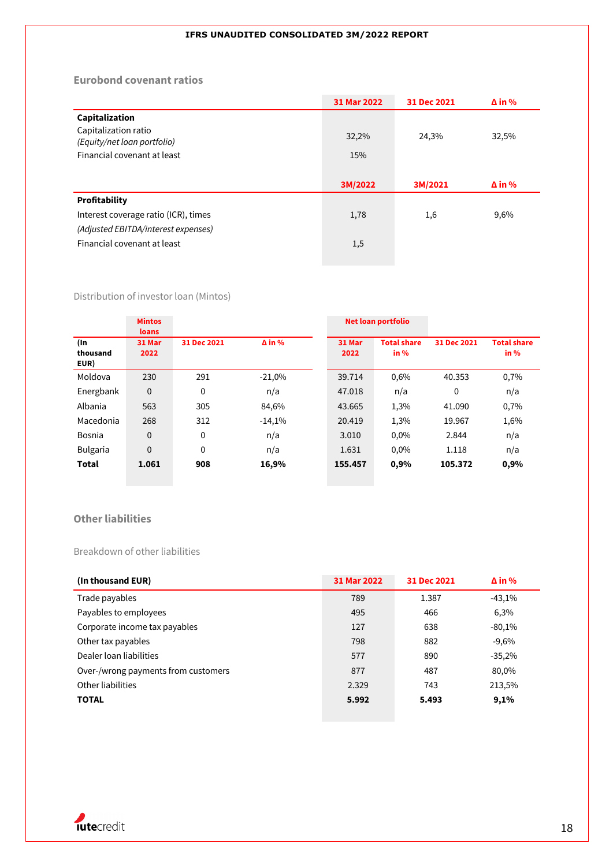## **Eurobond covenant ratios**

|                                                            | 31 Mar 2022 | 31 Dec 2021 | $\Delta$ in % |
|------------------------------------------------------------|-------------|-------------|---------------|
| Capitalization                                             |             |             |               |
| Capitalization ratio                                       | 32,2%       | 24,3%       | 32,5%         |
| (Equity/net loan portfolio)<br>Financial covenant at least | 15%         |             |               |
|                                                            |             |             |               |
|                                                            |             |             |               |
|                                                            | 3M/2022     | 3M/2021     | $\Delta$ in % |
| Profitability                                              |             |             |               |
| Interest coverage ratio (ICR), times                       | 1,78        | 1,6         | 9,6%          |
| (Adjusted EBITDA/interest expenses)                        |             |             |               |
| Financial covenant at least                                | 1,5         |             |               |

## Distribution of investor loan (Mintos)

|                         | <b>Mintos</b><br>loans |             |               |                | <b>Net loan portfolio</b>    |             |                            |
|-------------------------|------------------------|-------------|---------------|----------------|------------------------------|-------------|----------------------------|
| (In<br>thousand<br>EUR) | 31 Mar<br>2022         | 31 Dec 2021 | $\Delta$ in % | 31 Mar<br>2022 | <b>Total share</b><br>in $%$ | 31 Dec 2021 | <b>Total share</b><br>in % |
| Moldova                 | 230                    | 291         | $-21,0%$      | 39.714         | 0,6%                         | 40.353      | 0,7%                       |
| Energbank               | $\mathbf 0$            | 0           | n/a           | 47.018         | n/a                          | $\theta$    | n/a                        |
| Albania                 | 563                    | 305         | 84,6%         | 43.665         | 1,3%                         | 41.090      | 0,7%                       |
| Macedonia               | 268                    | 312         | $-14,1%$      | 20.419         | 1,3%                         | 19.967      | 1,6%                       |
| Bosnia                  | $\boldsymbol{0}$       | 0           | n/a           | 3.010          | 0,0%                         | 2.844       | n/a                        |
| <b>Bulgaria</b>         | 0                      | 0           | n/a           | 1.631          | 0,0%                         | 1.118       | n/a                        |
| Total                   | 1.061                  | 908         | 16,9%         | 155.457        | 0,9%                         | 105.372     | 0,9%                       |

## **Other liabilities**

## Breakdown of other liabilities

| (In thousand EUR)                   | 31 Mar 2022 | 31 Dec 2021 | $\Delta$ in % |
|-------------------------------------|-------------|-------------|---------------|
| Trade payables                      | 789         | 1.387       | $-43,1%$      |
| Payables to employees               | 495         | 466         | 6,3%          |
| Corporate income tax payables       | 127         | 638         | $-80,1%$      |
| Other tax payables                  | 798         | 882         | $-9,6%$       |
| Dealer loan liabilities             | 577         | 890         | $-35,2%$      |
| Over-/wrong payments from customers | 877         | 487         | 80,0%         |
| Other liabilities                   | 2.329       | 743         | 213,5%        |
| <b>TOTAL</b>                        | 5.992       | 5.493       | 9,1%          |

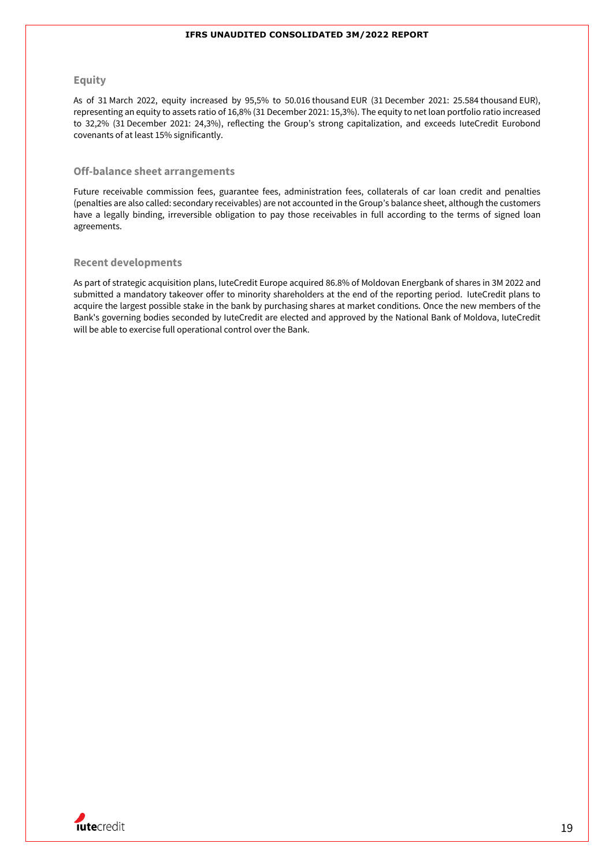### **Equity**

As of 31 March 2022, equity increased by 95,5% to 50.016 thousand EUR (31 December 2021: 25.584 thousand EUR), representing an equity to assets ratio of 16,8% (31 December 2021: 15,3%). The equity to net loan portfolio ratio increased to 32,2% (31 December 2021: 24,3%), reflecting the Group's strong capitalization, and exceeds IuteCredit Eurobond covenants of at least 15% significantly.

#### **Off-balance sheet arrangements**

Future receivable commission fees, guarantee fees, administration fees, collaterals of car loan credit and penalties (penalties are also called: secondary receivables) are not accounted in the Group's balance sheet, although the customers have a legally binding, irreversible obligation to pay those receivables in full according to the terms of signed loan agreements.

#### **Recent developments**

As part of strategic acquisition plans, IuteCredit Europe acquired 86.8% of Moldovan Energbank of shares in 3M 2022 and submitted a mandatory takeover offer to minority shareholders at the end of the reporting period. IuteCredit plans to acquire the largest possible stake in the bank by purchasing shares at market conditions. Once the new members of the Bank's governing bodies seconded by IuteCredit are elected and approved by the National Bank of Moldova, IuteCredit will be able to exercise full operational control over the Bank.

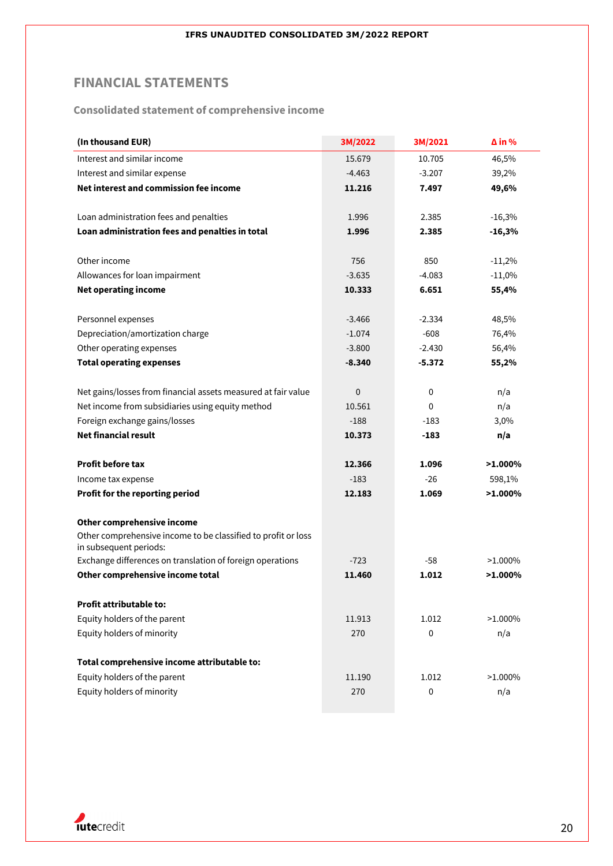## **FINANCIAL STATEMENTS**

**Consolidated statement of comprehensive income**

| (In thousand EUR)                                                                       | 3M/2022     | 3M/2021     | $\Delta$ in % |
|-----------------------------------------------------------------------------------------|-------------|-------------|---------------|
| Interest and similar income                                                             | 15.679      | 10.705      | 46,5%         |
| Interest and similar expense                                                            | $-4.463$    | $-3.207$    | 39,2%         |
| Net interest and commission fee income                                                  | 11.216      | 7.497       | 49,6%         |
| Loan administration fees and penalties                                                  | 1.996       | 2.385       | $-16,3%$      |
| Loan administration fees and penalties in total                                         | 1.996       | 2.385       | $-16,3%$      |
|                                                                                         |             |             |               |
| Other income                                                                            | 756         | 850         | $-11,2%$      |
| Allowances for loan impairment                                                          | $-3.635$    | $-4.083$    | $-11,0%$      |
| <b>Net operating income</b>                                                             | 10.333      | 6.651       | 55,4%         |
| Personnel expenses                                                                      | $-3.466$    | $-2.334$    | 48,5%         |
| Depreciation/amortization charge                                                        | $-1.074$    | $-608$      | 76,4%         |
| Other operating expenses                                                                | $-3.800$    | $-2.430$    | 56,4%         |
| <b>Total operating expenses</b>                                                         | $-8.340$    | $-5.372$    | 55,2%         |
| Net gains/losses from financial assets measured at fair value                           | $\mathbf 0$ | $\mathbf 0$ | n/a           |
| Net income from subsidiaries using equity method                                        | 10.561      | 0           | n/a           |
| Foreign exchange gains/losses                                                           | $-188$      | -183        | 3,0%          |
| <b>Net financial result</b>                                                             | 10.373      | -183        | n/a           |
|                                                                                         |             |             |               |
| <b>Profit before tax</b>                                                                | 12.366      | 1.096       | $>1.000\%$    |
| Income tax expense                                                                      | $-183$      | $-26$       | 598,1%        |
| Profit for the reporting period                                                         | 12.183      | 1.069       | $>1.000\%$    |
| Other comprehensive income                                                              |             |             |               |
| Other comprehensive income to be classified to profit or loss<br>in subsequent periods: |             |             |               |
| Exchange differences on translation of foreign operations                               | $-723$      | -58         | $>1.000\%$    |
| Other comprehensive income total                                                        | 11.460      | 1.012       | $>1.000\%$    |
| Profit attributable to:                                                                 |             |             |               |
| Equity holders of the parent                                                            | 11.913      | 1.012       | $>1.000\%$    |
| Equity holders of minority                                                              | 270         | 0           | n/a           |
| Total comprehensive income attributable to:                                             |             |             |               |
| Equity holders of the parent                                                            | 11.190      | 1.012       | $>1.000\%$    |
| Equity holders of minority                                                              | 270         | 0           | n/a           |
|                                                                                         |             |             |               |

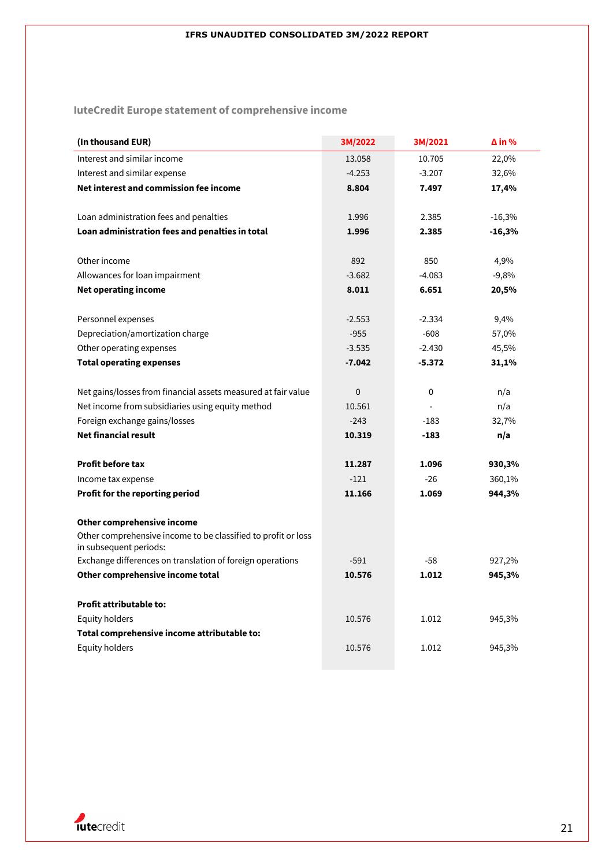**IuteCredit Europe statement of comprehensive income**

| (In thousand EUR)                                             | 3M/2022   | 3M/2021  | $\Delta$ in % |
|---------------------------------------------------------------|-----------|----------|---------------|
| Interest and similar income                                   | 13.058    | 10.705   | 22,0%         |
| Interest and similar expense                                  | $-4.253$  | $-3.207$ | 32,6%         |
| Net interest and commission fee income                        | 8.804     | 7.497    | 17,4%         |
|                                                               |           |          |               |
| Loan administration fees and penalties                        | 1.996     | 2.385    | $-16,3%$      |
| Loan administration fees and penalties in total               | 1.996     | 2.385    | $-16,3%$      |
|                                                               |           |          |               |
| Other income                                                  | 892       | 850      | 4,9%          |
| Allowances for loan impairment                                | $-3.682$  | $-4.083$ | $-9,8%$       |
| <b>Net operating income</b>                                   | 8.011     | 6.651    | 20,5%         |
|                                                               |           |          |               |
| Personnel expenses                                            | $-2.553$  | $-2.334$ | 9,4%          |
| Depreciation/amortization charge                              | $-955$    | $-608$   | 57,0%         |
| Other operating expenses                                      | $-3.535$  | $-2.430$ | 45,5%         |
| <b>Total operating expenses</b>                               | $-7.042$  | $-5.372$ | 31,1%         |
|                                                               |           |          |               |
| Net gains/losses from financial assets measured at fair value | $\pmb{0}$ | 0        | n/a           |
| Net income from subsidiaries using equity method              | 10.561    |          | n/a           |
| Foreign exchange gains/losses                                 | $-243$    | $-183$   | 32,7%         |
| <b>Net financial result</b>                                   | 10.319    | $-183$   | n/a           |
| <b>Profit before tax</b>                                      | 11.287    | 1.096    | 930,3%        |
| Income tax expense                                            | $-121$    | $-26$    | 360,1%        |
| Profit for the reporting period                               | 11.166    | 1.069    | 944,3%        |
|                                                               |           |          |               |
| Other comprehensive income                                    |           |          |               |
| Other comprehensive income to be classified to profit or loss |           |          |               |
| in subsequent periods:                                        |           |          |               |
| Exchange differences on translation of foreign operations     | $-591$    | $-58$    | 927,2%        |
| Other comprehensive income total                              | 10.576    | 1.012    | 945,3%        |
| <b>Profit attributable to:</b>                                |           |          |               |
| <b>Equity holders</b>                                         | 10.576    | 1.012    | 945,3%        |
| Total comprehensive income attributable to:                   |           |          |               |
| Equity holders                                                | 10.576    | 1.012    | 945,3%        |
|                                                               |           |          |               |

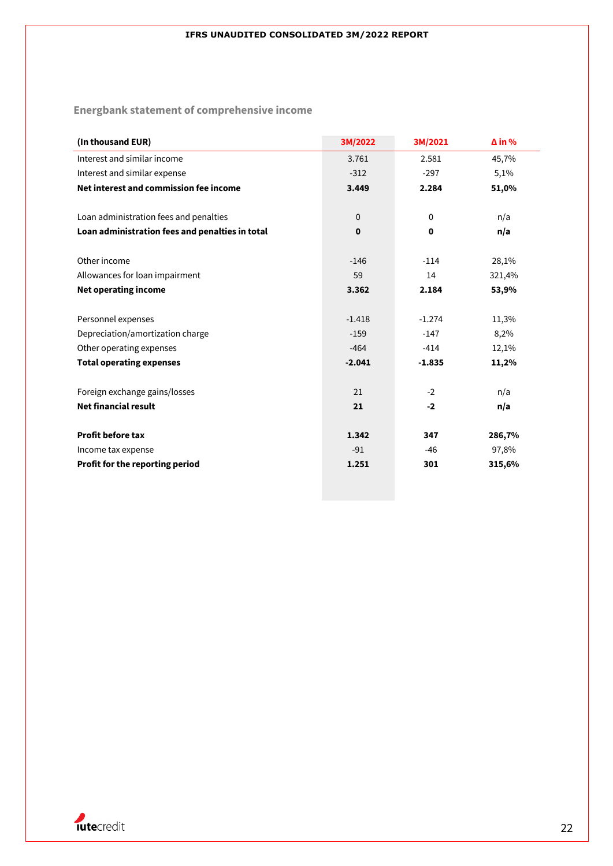**Energbank statement of comprehensive income**

| (In thousand EUR)                               | 3M/2022      | 3M/2021     | $\Delta$ in % |
|-------------------------------------------------|--------------|-------------|---------------|
| Interest and similar income                     | 3.761        | 2.581       | 45,7%         |
| Interest and similar expense                    | $-312$       | $-297$      | 5,1%          |
| Net interest and commission fee income          | 3.449        | 2.284       | 51,0%         |
|                                                 |              |             |               |
| Loan administration fees and penalties          | $\mathbf{0}$ | $\mathbf 0$ | n/a           |
| Loan administration fees and penalties in total | $\mathbf 0$  | 0           | n/a           |
|                                                 |              |             |               |
| Other income                                    | $-146$       | $-114$      | 28,1%         |
| Allowances for loan impairment                  | 59           | 14          | 321,4%        |
| Net operating income                            | 3.362        | 2.184       | 53,9%         |
|                                                 |              |             |               |
| Personnel expenses                              | $-1.418$     | $-1.274$    | 11,3%         |
| Depreciation/amortization charge                | $-159$       | $-147$      | 8,2%          |
| Other operating expenses                        | $-464$       | $-414$      | 12,1%         |
| <b>Total operating expenses</b>                 | $-2.041$     | $-1.835$    | 11,2%         |
|                                                 |              |             |               |
| Foreign exchange gains/losses                   | 21           | $-2$        | n/a           |
| <b>Net financial result</b>                     | 21           | $-2$        | n/a           |
| <b>Profit before tax</b>                        | 1.342        | 347         | 286,7%        |
|                                                 | $-91$        | $-46$       |               |
| Income tax expense                              |              |             | 97,8%         |
| Profit for the reporting period                 | 1.251        | 301         | 315,6%        |
|                                                 |              |             |               |

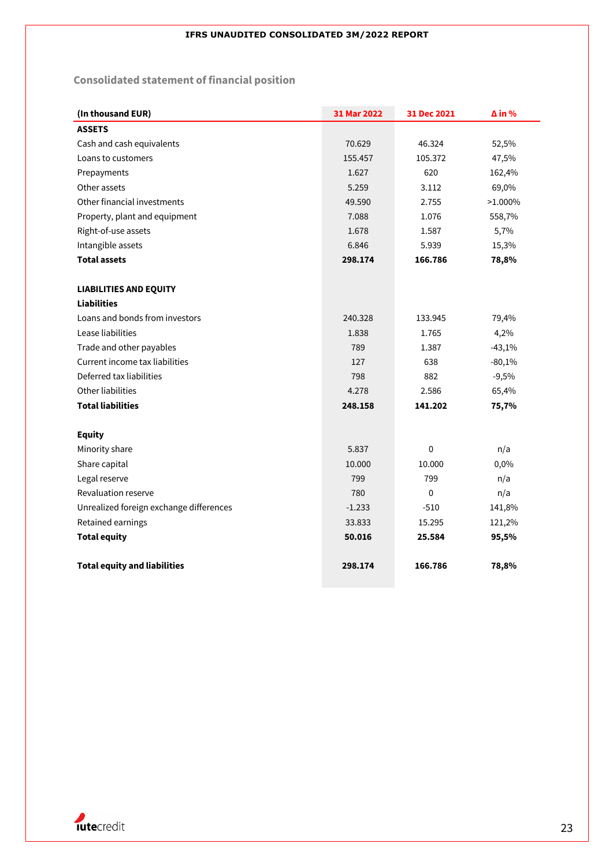## **Consolidated statement of financial position**

| (In thousand EUR)                       | 31 Mar 2022 | 31 Dec 2021 | $\Delta$ in % |
|-----------------------------------------|-------------|-------------|---------------|
| <b>ASSETS</b>                           |             |             |               |
| Cash and cash equivalents               | 70.629      | 46.324      | 52,5%         |
| Loans to customers                      | 155.457     | 105.372     | 47,5%         |
| Prepayments                             | 1.627       | 620         | 162,4%        |
| Other assets                            | 5.259       | 3.112       | 69,0%         |
| Other financial investments             | 49.590      | 2.755       | $>1.000\%$    |
| Property, plant and equipment           | 7.088       | 1.076       | 558,7%        |
| Right-of-use assets                     | 1.678       | 1.587       | 5,7%          |
| Intangible assets                       | 6.846       | 5.939       | 15,3%         |
| <b>Total assets</b>                     | 298.174     | 166.786     | 78,8%         |
|                                         |             |             |               |
| <b>LIABILITIES AND EQUITY</b>           |             |             |               |
| <b>Liabilities</b>                      |             |             |               |
| Loans and bonds from investors          | 240.328     | 133.945     | 79,4%         |
| Lease liabilities                       | 1.838       | 1.765       | 4,2%          |
| Trade and other payables                | 789         | 1.387       | $-43,1%$      |
| Current income tax liabilities          | 127         | 638         | $-80,1%$      |
| Deferred tax liabilities                | 798         | 882         | $-9,5%$       |
| Other liabilities                       | 4.278       | 2.586       | 65,4%         |
| <b>Total liabilities</b>                | 248.158     | 141.202     | 75,7%         |
|                                         |             |             |               |
| <b>Equity</b>                           |             |             |               |
| Minority share                          | 5.837       | $\mathbf 0$ | n/a           |
| Share capital                           | 10.000      | 10.000      | 0,0%          |
| Legal reserve                           | 799         | 799         | n/a           |
| Revaluation reserve                     | 780         | 0           | n/a           |
| Unrealized foreign exchange differences | $-1.233$    | $-510$      | 141,8%        |
| Retained earnings                       | 33.833      | 15.295      | 121,2%        |
| <b>Total equity</b>                     | 50.016      | 25.584      | 95,5%         |
|                                         |             |             |               |
| <b>Total equity and liabilities</b>     | 298.174     | 166.786     | 78,8%         |

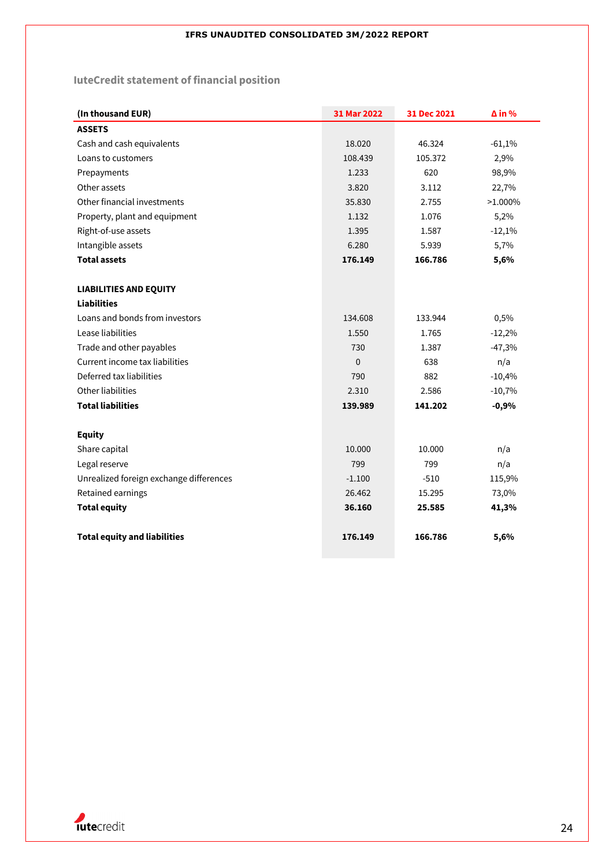## **IuteCredit statement of financial position**

| (In thousand EUR)                       | 31 Mar 2022 | 31 Dec 2021 | $\Delta$ in % |
|-----------------------------------------|-------------|-------------|---------------|
| <b>ASSETS</b>                           |             |             |               |
| Cash and cash equivalents               | 18.020      | 46.324      | $-61,1%$      |
| Loans to customers                      | 108.439     | 105.372     | 2,9%          |
| Prepayments                             | 1.233       | 620         | 98,9%         |
| Other assets                            | 3.820       | 3.112       | 22,7%         |
| Other financial investments             | 35.830      | 2.755       | $>1.000\%$    |
| Property, plant and equipment           | 1.132       | 1.076       | 5,2%          |
| Right-of-use assets                     | 1.395       | 1.587       | $-12,1%$      |
| Intangible assets                       | 6.280       | 5.939       | 5,7%          |
| <b>Total assets</b>                     | 176.149     | 166.786     | 5,6%          |
|                                         |             |             |               |
| <b>LIABILITIES AND EQUITY</b>           |             |             |               |
| <b>Liabilities</b>                      |             |             |               |
| Loans and bonds from investors          | 134.608     | 133.944     | 0,5%          |
| Lease liabilities                       | 1.550       | 1.765       | $-12,2%$      |
| Trade and other payables                | 730         | 1.387       | $-47,3%$      |
| Current income tax liabilities          | 0           | 638         | n/a           |
| Deferred tax liabilities                | 790         | 882         | $-10,4%$      |
| Other liabilities                       | 2.310       | 2.586       | $-10,7%$      |
| <b>Total liabilities</b>                | 139.989     | 141.202     | $-0,9%$       |
|                                         |             |             |               |
| <b>Equity</b>                           |             |             |               |
| Share capital                           | 10.000      | 10.000      | n/a           |
| Legal reserve                           | 799         | 799         | n/a           |
| Unrealized foreign exchange differences | $-1.100$    | $-510$      | 115,9%        |
| Retained earnings                       | 26.462      | 15.295      | 73,0%         |
| <b>Total equity</b>                     | 36.160      | 25.585      | 41,3%         |
| <b>Total equity and liabilities</b>     | 176.149     | 166.786     | 5,6%          |

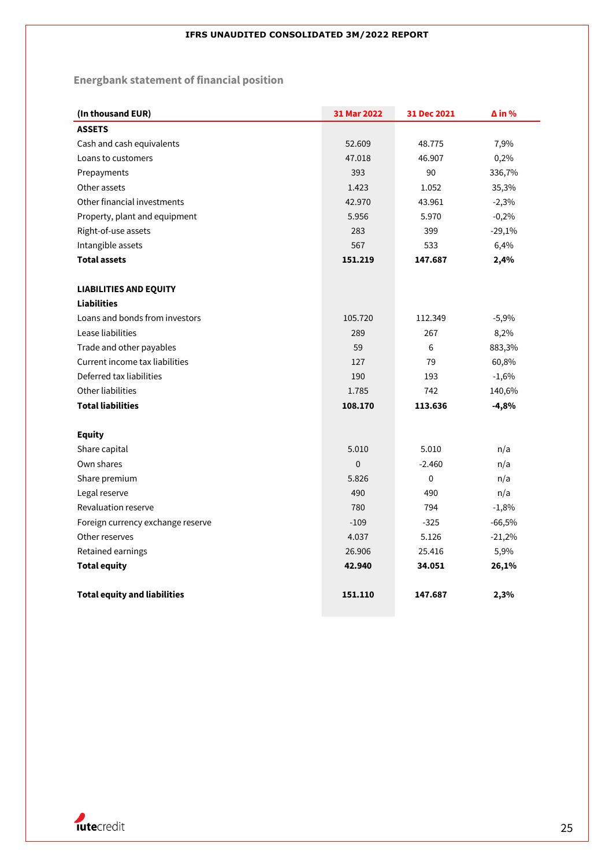# **Energbank statement of financial position**

| (In thousand EUR)                   | 31 Mar 2022 | 31 Dec 2021 | ∆ in %   |
|-------------------------------------|-------------|-------------|----------|
| <b>ASSETS</b>                       |             |             |          |
| Cash and cash equivalents           | 52.609      | 48.775      | 7,9%     |
| Loans to customers                  | 47.018      | 46.907      | 0,2%     |
| Prepayments                         | 393         | 90          | 336,7%   |
| Other assets                        | 1.423       | 1.052       | 35,3%    |
| Other financial investments         | 42.970      | 43.961      | $-2,3%$  |
| Property, plant and equipment       | 5.956       | 5.970       | $-0,2%$  |
| Right-of-use assets                 | 283         | 399         | $-29,1%$ |
| Intangible assets                   | 567         | 533         | 6,4%     |
| <b>Total assets</b>                 | 151.219     | 147.687     | 2,4%     |
|                                     |             |             |          |
| <b>LIABILITIES AND EQUITY</b>       |             |             |          |
| <b>Liabilities</b>                  |             |             |          |
| Loans and bonds from investors      | 105.720     | 112.349     | $-5,9%$  |
| Lease liabilities                   | 289         | 267         | 8,2%     |
| Trade and other payables            | 59          | 6           | 883,3%   |
| Current income tax liabilities      | 127         | 79          | 60,8%    |
| Deferred tax liabilities            | 190         | 193         | $-1,6%$  |
| Other liabilities                   | 1.785       | 742         | 140,6%   |
| <b>Total liabilities</b>            | 108.170     | 113.636     | $-4,8%$  |
| <b>Equity</b>                       |             |             |          |
| Share capital                       | 5.010       | 5.010       | n/a      |
| Own shares                          | $\mathbf 0$ | $-2.460$    | n/a      |
| Share premium                       | 5.826       | 0           | n/a      |
| Legal reserve                       | 490         | 490         | n/a      |
| Revaluation reserve                 | 780         | 794         | $-1,8%$  |
| Foreign currency exchange reserve   | $-109$      | $-325$      | $-66,5%$ |
| Other reserves                      | 4.037       | 5.126       | $-21,2%$ |
| Retained earnings                   | 26.906      | 25.416      | 5,9%     |
| <b>Total equity</b>                 | 42.940      | 34.051      | 26,1%    |
|                                     |             |             |          |
| <b>Total equity and liabilities</b> | 151.110     | 147.687     | 2,3%     |

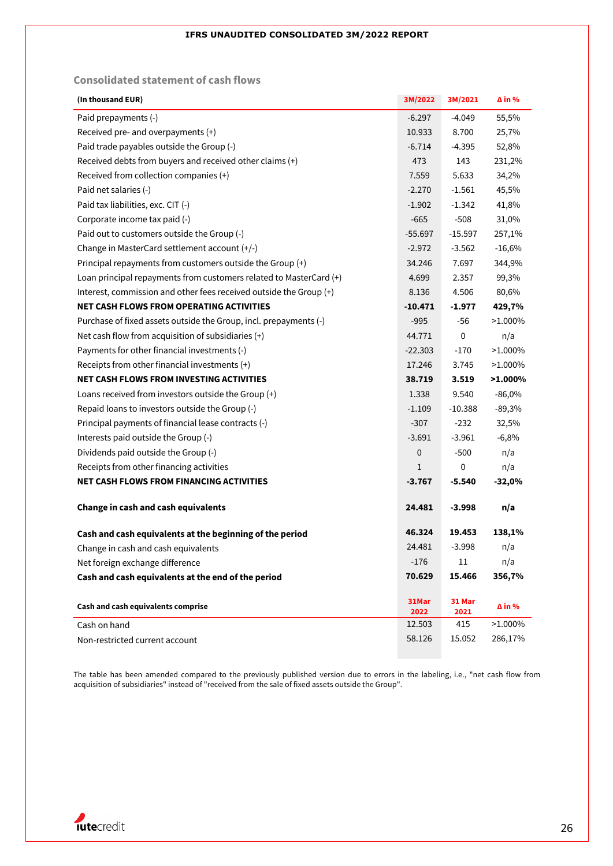## **Consolidated statement of cash flows**

| (In thousand EUR)                                                  | 3M/2022       | 3M/2021        | $\Delta$ in % |
|--------------------------------------------------------------------|---------------|----------------|---------------|
| Paid prepayments (-)                                               | $-6.297$      | $-4.049$       | 55,5%         |
| Received pre- and overpayments (+)                                 | 10.933        | 8.700          | 25,7%         |
| Paid trade payables outside the Group (-)                          | $-6.714$      | $-4.395$       | 52,8%         |
| Received debts from buyers and received other claims (+)           | 473           | 143            | 231,2%        |
| Received from collection companies (+)                             | 7.559         | 5.633          | 34,2%         |
| Paid net salaries (-)                                              | $-2.270$      | $-1.561$       | 45,5%         |
| Paid tax liabilities, exc. CIT (-)                                 | $-1.902$      | $-1.342$       | 41,8%         |
| Corporate income tax paid (-)                                      | $-665$        | $-508$         | 31,0%         |
| Paid out to customers outside the Group (-)                        | $-55.697$     | $-15.597$      | 257,1%        |
| Change in MasterCard settlement account (+/-)                      | $-2.972$      | $-3.562$       | $-16,6%$      |
| Principal repayments from customers outside the Group (+)          | 34.246        | 7.697          | 344,9%        |
| Loan principal repayments from customers related to MasterCard (+) | 4.699         | 2.357          | 99,3%         |
| Interest, commission and other fees received outside the Group (+) | 8.136         | 4.506          | 80,6%         |
| <b>NET CASH FLOWS FROM OPERATING ACTIVITIES</b>                    | $-10.471$     | $-1.977$       | 429,7%        |
| Purchase of fixed assets outside the Group, incl. prepayments (-)  | $-995$        | -56            | $>1.000\%$    |
| Net cash flow from acquisition of subsidiaries (+)                 | 44.771        | 0              | n/a           |
| Payments for other financial investments (-)                       | $-22.303$     | $-170$         | $>1.000\%$    |
| Receipts from other financial investments (+)                      | 17.246        | 3.745          | $>1.000\%$    |
| <b>NET CASH FLOWS FROM INVESTING ACTIVITIES</b>                    | 38.719        | 3.519          | $>1.000\%$    |
| Loans received from investors outside the Group (+)                | 1.338         | 9.540          | $-86,0%$      |
| Repaid loans to investors outside the Group (-)                    | $-1.109$      | $-10.388$      | $-89,3%$      |
| Principal payments of financial lease contracts (-)                | $-307$        | $-232$         | 32,5%         |
| Interests paid outside the Group (-)                               | $-3.691$      | $-3.961$       | $-6,8%$       |
| Dividends paid outside the Group (-)                               | 0             | $-500$         | n/a           |
| Receipts from other financing activities                           | 1             | 0              | n/a           |
| <b>NET CASH FLOWS FROM FINANCING ACTIVITIES</b>                    | $-3.767$      | -5.540         | $-32,0%$      |
| <b>Change in cash and cash equivalents</b>                         | 24.481        | $-3.998$       | n/a           |
| Cash and cash equivalents at the beginning of the period           | 46.324        | 19.453         | 138,1%        |
| Change in cash and cash equivalents                                | 24.481        | $-3.998$       | n/a           |
| Net foreign exchange difference                                    | $-176$        | $11\,$         | n/a           |
| Cash and cash equivalents at the end of the period                 | 70.629        | 15.466         | 356,7%        |
| Cash and cash equivalents comprise                                 | 31Mar<br>2022 | 31 Mar<br>2021 | $\Delta$ in % |
| Cash on hand                                                       | 12.503        | 415            | $>1.000\%$    |
| Non-restricted current account                                     | 58.126        | 15.052         | 286,17%       |

The table has been amended compared to the previously published version due to errors in the labeling, i.e., "net cash flow from acquisition of subsidiaries" instead of "received from the sale of fixed assets outside the Group".

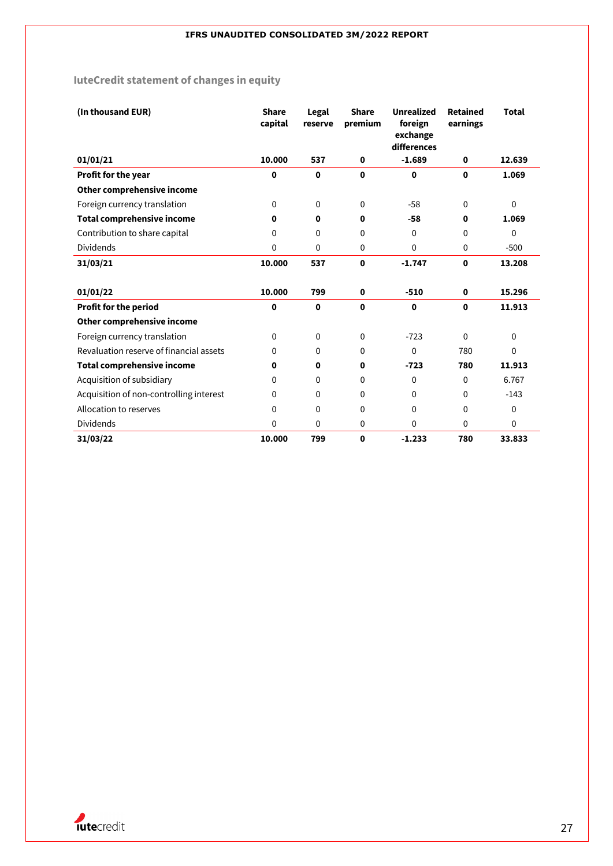# **IuteCredit statement of changes in equity**

| (In thousand EUR)                       | <b>Share</b><br>capital | Legal<br>reserve | <b>Share</b><br>premium | <b>Unrealized</b><br>foreign<br>exchange<br>differences | <b>Retained</b><br>earnings | <b>Total</b> |
|-----------------------------------------|-------------------------|------------------|-------------------------|---------------------------------------------------------|-----------------------------|--------------|
| 01/01/21                                | 10.000                  | 537              | $\mathbf 0$             | $-1.689$                                                | $\mathbf 0$                 | 12.639       |
| Profit for the year                     | 0                       | $\mathbf 0$      | $\mathbf 0$             | $\mathbf 0$                                             | $\mathbf 0$                 | 1.069        |
| Other comprehensive income              |                         |                  |                         |                                                         |                             |              |
| Foreign currency translation            | $\Omega$                | $\Omega$         | $\mathbf 0$             | $-58$                                                   | $\Omega$                    | $\mathbf 0$  |
| <b>Total comprehensive income</b>       | 0                       | 0                | $\mathbf 0$             | $-58$                                                   | $\mathbf 0$                 | 1.069        |
| Contribution to share capital           | 0                       | 0                | 0                       | 0                                                       | $\Omega$                    | $\Omega$     |
| <b>Dividends</b>                        | 0                       | 0                | 0                       | 0                                                       | $\mathbf 0$                 | $-500$       |
| 31/03/21                                | 10.000                  | 537              | 0                       | $-1.747$                                                | $\mathbf 0$                 | 13.208       |
|                                         |                         |                  |                         |                                                         |                             |              |
| 01/01/22                                | 10.000                  | 799              | $\mathbf 0$             | $-510$                                                  | $\mathbf 0$                 | 15.296       |
| <b>Profit for the period</b>            | 0                       | $\mathbf 0$      | $\mathbf 0$             | $\mathbf 0$                                             | $\mathbf 0$                 | 11.913       |
| Other comprehensive income              |                         |                  |                         |                                                         |                             |              |
| Foreign currency translation            | 0                       | 0                | 0                       | $-723$                                                  | $\Omega$                    | $\mathbf 0$  |
| Revaluation reserve of financial assets | 0                       | 0                | 0                       | 0                                                       | 780                         | $\mathbf 0$  |
| <b>Total comprehensive income</b>       | 0                       | 0                | $\mathbf 0$             | $-723$                                                  | 780                         | 11.913       |
| Acquisition of subsidiary               | 0                       | 0                | 0                       | 0                                                       | $\Omega$                    | 6.767        |
| Acquisition of non-controlling interest | $\Omega$                | 0                | 0                       | 0                                                       | $\Omega$                    | $-143$       |
| Allocation to reserves                  | $\Omega$                | $\Omega$         | 0                       | $\mathbf 0$                                             | $\Omega$                    | $\mathbf 0$  |
| <b>Dividends</b>                        | 0                       | 0                | $\mathbf 0$             | 0                                                       | $\mathbf 0$                 | $\mathbf 0$  |
| 31/03/22                                | 10.000                  | 799              | 0                       | $-1.233$                                                | 780                         | 33.833       |

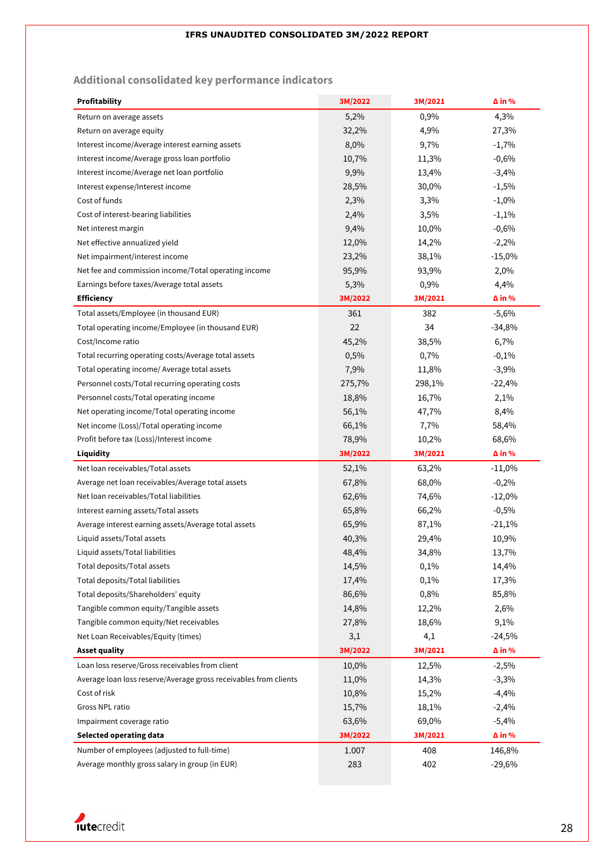## **Additional consolidated key performance indicators**

| <b>Profitability</b>                                             | 3M/2022 | 3M/2021 | $\Delta$ in % |
|------------------------------------------------------------------|---------|---------|---------------|
| Return on average assets                                         | 5,2%    | 0,9%    | 4,3%          |
| Return on average equity                                         | 32,2%   | 4,9%    | 27,3%         |
| Interest income/Average interest earning assets                  | 8,0%    | 9,7%    | $-1,7%$       |
| Interest income/Average gross loan portfolio                     | 10,7%   | 11,3%   | $-0,6%$       |
| Interest income/Average net loan portfolio                       | 9,9%    | 13,4%   | $-3,4%$       |
| Interest expense/Interest income                                 | 28,5%   | 30,0%   | $-1,5%$       |
| Cost of funds                                                    | 2,3%    | 3,3%    | $-1,0%$       |
| Cost of interest-bearing liabilities                             | 2,4%    | 3,5%    | $-1,1%$       |
| Net interest margin                                              | 9,4%    | 10,0%   | $-0,6%$       |
| Net effective annualized yield                                   | 12,0%   | 14,2%   | $-2,2%$       |
| Net impairment/interest income                                   | 23,2%   | 38,1%   | $-15,0%$      |
| Net fee and commission income/Total operating income             | 95,9%   | 93,9%   | 2,0%          |
| Earnings before taxes/Average total assets                       | 5,3%    | 0,9%    | 4,4%          |
| <b>Efficiency</b>                                                | 3M/2022 | 3M/2021 | $\Delta$ in % |
| Total assets/Employee (in thousand EUR)                          | 361     | 382     | $-5,6%$       |
| Total operating income/Employee (in thousand EUR)                | 22      | 34      | $-34,8%$      |
| Cost/Income ratio                                                | 45,2%   | 38,5%   | 6,7%          |
| Total recurring operating costs/Average total assets             | 0,5%    | 0,7%    | $-0,1%$       |
| Total operating income/ Average total assets                     | 7,9%    | 11,8%   | $-3,9%$       |
| Personnel costs/Total recurring operating costs                  | 275,7%  | 298,1%  | $-22,4%$      |
| Personnel costs/Total operating income                           | 18,8%   | 16,7%   | 2,1%          |
| Net operating income/Total operating income                      | 56,1%   | 47,7%   | 8,4%          |
| Net income (Loss)/Total operating income                         | 66,1%   | 7,7%    | 58,4%         |
| Profit before tax (Loss)/Interest income                         | 78,9%   | 10,2%   | 68,6%         |
| Liquidity                                                        | 3M/2022 | 3M/2021 | $\Delta$ in % |
| Net loan receivables/Total assets                                | 52,1%   | 63,2%   | $-11,0%$      |
| Average net loan receivables/Average total assets                | 67,8%   | 68,0%   | $-0,2%$       |
| Net loan receivables/Total liabilities                           | 62,6%   | 74,6%   | $-12,0%$      |
| Interest earning assets/Total assets                             | 65,8%   | 66,2%   | $-0,5%$       |
| Average interest earning assets/Average total assets             | 65,9%   | 87,1%   | $-21,1%$      |
| Liquid assets/Total assets                                       | 40,3%   | 29,4%   | 10,9%         |
| Liquid assets/Total liabilities                                  | 48,4%   | 34,8%   | 13,7%         |
| Total deposits/Total assets                                      | 14,5%   | 0,1%    | 14,4%         |
| Total deposits/Total liabilities                                 | 17,4%   | 0,1%    | 17,3%         |
| Total deposits/Shareholders' equity                              | 86,6%   | 0,8%    | 85,8%         |
| Tangible common equity/Tangible assets                           | 14,8%   | 12,2%   | 2,6%          |
| Tangible common equity/Net receivables                           | 27,8%   | 18,6%   | 9,1%          |
| Net Loan Receivables/Equity (times)                              | 3,1     | 4,1     | $-24,5%$      |
| <b>Asset quality</b>                                             | 3M/2022 | 3M/2021 | $\Delta$ in % |
| Loan loss reserve/Gross receivables from client                  | 10,0%   | 12,5%   | $-2,5%$       |
| Average loan loss reserve/Average gross receivables from clients | 11,0%   | 14,3%   | $-3,3%$       |
| Cost of risk                                                     | 10,8%   | 15,2%   | $-4,4%$       |
| Gross NPL ratio                                                  | 15,7%   | 18,1%   | $-2,4%$       |
| Impairment coverage ratio                                        | 63,6%   | 69,0%   | $-5,4%$       |
| <b>Selected operating data</b>                                   | 3M/2022 | 3M/2021 | $\Delta$ in % |
| Number of employees (adjusted to full-time)                      | 1.007   | 408     | 146,8%        |
| Average monthly gross salary in group (in EUR)                   | 283     | 402     | $-29,6%$      |

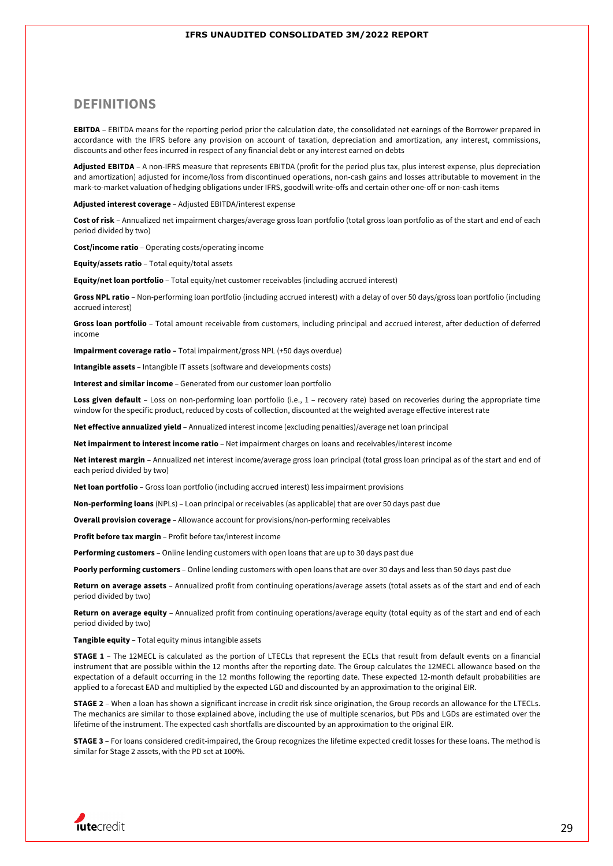## **DEFINITIONS**

**EBITDA** – EBITDA means for the reporting period prior the calculation date, the consolidated net earnings of the Borrower prepared in accordance with the IFRS before any provision on account of taxation, depreciation and amortization, any interest, commissions, discounts and other fees incurred in respect of any financial debt or any interest earned on debts

**Adjusted EBITDA** – A non-IFRS measure that represents EBITDA (profit for the period plus tax, plus interest expense, plus depreciation and amortization) adjusted for income/loss from discontinued operations, non-cash gains and losses attributable to movement in the mark-to-market valuation of hedging obligations under IFRS, goodwill write-offs and certain other one-off or non-cash items

**Adjusted interest coverage** – Adjusted EBITDA/interest expense

**Cost of risk** – Annualized net impairment charges/average gross loan portfolio (total gross loan portfolio as of the start and end of each period divided by two)

**Cost/income ratio** – Operating costs/operating income

**Equity/assets ratio** – Total equity/total assets

**Equity/net loan portfolio** – Total equity/net customer receivables (including accrued interest)

**Gross NPL ratio** – Non-performing loan portfolio (including accrued interest) with a delay of over 50 days/gross loan portfolio (including accrued interest)

**Gross loan portfolio** – Total amount receivable from customers, including principal and accrued interest, after deduction of deferred income

**Impairment coverage ratio –** Total impairment/gross NPL (+50 days overdue)

**Intangible assets** – Intangible IT assets (software and developments costs)

**Interest and similar income** – Generated from our customer loan portfolio

Loss given default - Loss on non-performing loan portfolio (i.e., 1 - recovery rate) based on recoveries during the appropriate time window for the specific product, reduced by costs of collection, discounted at the weighted average effective interest rate

**Net effective annualized yield** – Annualized interest income (excluding penalties)/average net loan principal

**Net impairment to interest income ratio** – Net impairment charges on loans and receivables/interest income

**Net interest margin** – Annualized net interest income/average gross loan principal (total gross loan principal as of the start and end of each period divided by two)

**Net loan portfolio** – Gross loan portfolio (including accrued interest) less impairment provisions

**Non-performing loans** (NPLs) – Loan principal or receivables (as applicable) that are over 50 days past due

**Overall provision coverage** – Allowance account for provisions/non-performing receivables

**Profit before tax margin** – Profit before tax/interest income

**Performing customers** – Online lending customers with open loans that are up to 30 days past due

**Poorly performing customers** – Online lending customers with open loans that are over 30 days and less than 50 days past due

**Return on average assets** – Annualized profit from continuing operations/average assets (total assets as of the start and end of each period divided by two)

Return on average equity - Annualized profit from continuing operations/average equity (total equity as of the start and end of each period divided by two)

**Tangible equity** – Total equity minus intangible assets

**STAGE 1** – The 12MECL is calculated as the portion of LTECLs that represent the ECLs that result from default events on a financial instrument that are possible within the 12 months after the reporting date. The Group calculates the 12MECL allowance based on the expectation of a default occurring in the 12 months following the reporting date. These expected 12-month default probabilities are applied to a forecast EAD and multiplied by the expected LGD and discounted by an approximation to the original EIR.

**STAGE 2** – When a loan has shown a significant increase in credit risk since origination, the Group records an allowance for the LTECLs. The mechanics are similar to those explained above, including the use of multiple scenarios, but PDs and LGDs are estimated over the lifetime of the instrument. The expected cash shortfalls are discounted by an approximation to the original EIR.

**STAGE 3** – For loans considered credit-impaired, the Group recognizes the lifetime expected credit losses for these loans. The method is similar for Stage 2 assets, with the PD set at 100%.